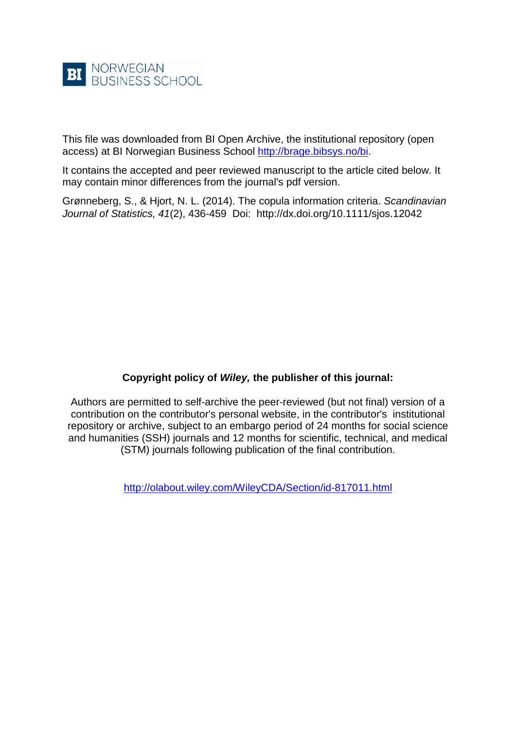

This file was downloaded from BI Open Archive, the institutional repository (open access) at BI Norwegian Business School [http://brage.bibsys.no/bi.](http://brage.bibsys.no/bi)

It contains the accepted and peer reviewed manuscript to the article cited below. It may contain minor differences from the journal's pdf version.

Grønneberg, S., & Hjort, N. L. (2014). The copula information criteria. *Scandinavian Journal of Statistics, 41*(2), 436-459 Doi: http://dx.doi.org/10.1111/sjos.12042

# **Copyright policy of** *Wiley,* **the publisher of this journal:**

Authors are permitted to self-archive the peer-reviewed (but not final) version of a contribution on the contributor's personal website, in the contributor's institutional repository or archive, subject to an embargo period of 24 months for social science and humanities (SSH) journals and 12 months for scientific, technical, and medical (STM) journals following publication of the final contribution.

<http://olabout.wiley.com/WileyCDA/Section/id-817011.html>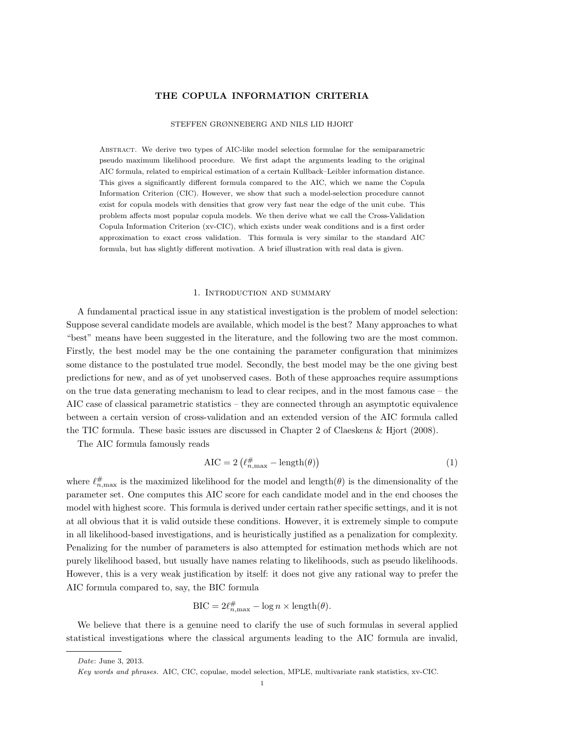## THE COPULA INFORMATION CRITERIA

#### STEFFEN GRØNNEBERG AND NILS LID HJORT

Abstract. We derive two types of AIC-like model selection formulae for the semiparametric pseudo maximum likelihood procedure. We first adapt the arguments leading to the original AIC formula, related to empirical estimation of a certain Kullback–Leibler information distance. This gives a significantly different formula compared to the AIC, which we name the Copula Information Criterion (CIC). However, we show that such a model-selection procedure cannot exist for copula models with densities that grow very fast near the edge of the unit cube. This problem affects most popular copula models. We then derive what we call the Cross-Validation Copula Information Criterion (xv-CIC), which exists under weak conditions and is a first order approximation to exact cross validation. This formula is very similar to the standard AIC formula, but has slightly different motivation. A brief illustration with real data is given.

### 1. Introduction and summary

A fundamental practical issue in any statistical investigation is the problem of model selection: Suppose several candidate models are available, which model is the best? Many approaches to what "best" means have been suggested in the literature, and the following two are the most common. Firstly, the best model may be the one containing the parameter configuration that minimizes some distance to the postulated true model. Secondly, the best model may be the one giving best predictions for new, and as of yet unobserved cases. Both of these approaches require assumptions on the true data generating mechanism to lead to clear recipes, and in the most famous case – the AIC case of classical parametric statistics – they are connected through an asymptotic equivalence between a certain version of cross-validation and an extended version of the AIC formula called the TIC formula. These basic issues are discussed in Chapter 2 of Claeskens & Hjort (2008).

The AIC formula famously reads

$$
AIC = 2\left(\ell_{n,\max}^{\#} - \text{length}(\theta)\right) \tag{1}
$$

where  $\ell_{n,\text{max}}^{\#}$  is the maximized likelihood for the model and length( $\theta$ ) is the dimensionality of the parameter set. One computes this AIC score for each candidate model and in the end chooses the model with highest score. This formula is derived under certain rather specific settings, and it is not at all obvious that it is valid outside these conditions. However, it is extremely simple to compute in all likelihood-based investigations, and is heuristically justified as a penalization for complexity. Penalizing for the number of parameters is also attempted for estimation methods which are not purely likelihood based, but usually have names relating to likelihoods, such as pseudo likelihoods. However, this is a very weak justification by itself: it does not give any rational way to prefer the AIC formula compared to, say, the BIC formula

$$
BIC = 2\ell_{n,\max}^{\#} - \log n \times \text{length}(\theta).
$$

We believe that there is a genuine need to clarify the use of such formulas in several applied statistical investigations where the classical arguments leading to the AIC formula are invalid,

Date: June 3, 2013.

Key words and phrases. AIC, CIC, copulae, model selection, MPLE, multivariate rank statistics, xv-CIC.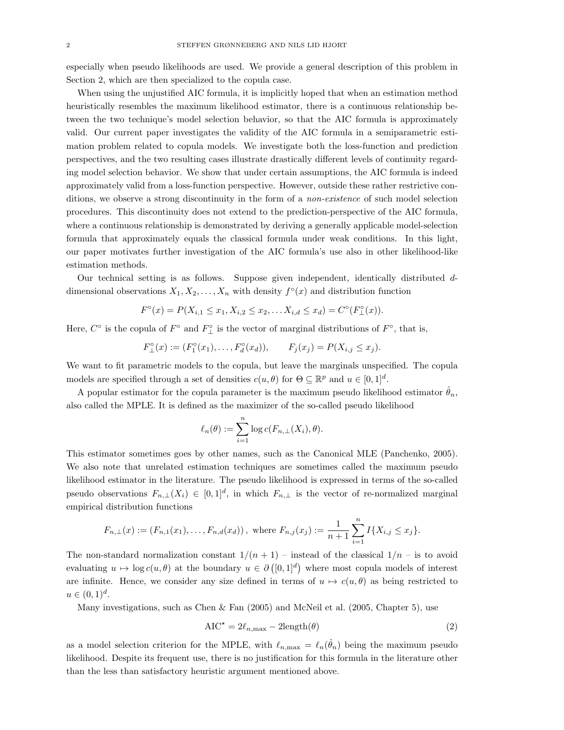especially when pseudo likelihoods are used. We provide a general description of this problem in Section 2, which are then specialized to the copula case.

When using the unjustified AIC formula, it is implicitly hoped that when an estimation method heuristically resembles the maximum likelihood estimator, there is a continuous relationship between the two technique's model selection behavior, so that the AIC formula is approximately valid. Our current paper investigates the validity of the AIC formula in a semiparametric estimation problem related to copula models. We investigate both the loss-function and prediction perspectives, and the two resulting cases illustrate drastically different levels of continuity regarding model selection behavior. We show that under certain assumptions, the AIC formula is indeed approximately valid from a loss-function perspective. However, outside these rather restrictive conditions, we observe a strong discontinuity in the form of a non-existence of such model selection procedures. This discontinuity does not extend to the prediction-perspective of the AIC formula, where a continuous relationship is demonstrated by deriving a generally applicable model-selection formula that approximately equals the classical formula under weak conditions. In this light, our paper motivates further investigation of the AIC formula's use also in other likelihood-like estimation methods.

Our technical setting is as follows. Suppose given independent, identically distributed ddimensional observations  $X_1, X_2, \ldots, X_n$  with density  $f^{\circ}(x)$  and distribution function

$$
F^{\circ}(x) = P(X_{i,1} \le x_1, X_{i,2} \le x_2, \dots X_{i,d} \le x_d) = C^{\circ}(F^{\circ}_{\perp}(x)).
$$

Here,  $C^{\circ}$  is the copula of  $F^{\circ}$  and  $F^{\circ}_{\perp}$  is the vector of marginal distributions of  $F^{\circ}$ , that is,

$$
F_{\perp}^{\circ}(x) := (F_1^{\circ}(x_1), \dots, F_d^{\circ}(x_d)), \qquad F_j(x_j) = P(X_{i,j} \le x_j).
$$

We want to fit parametric models to the copula, but leave the marginals unspecified. The copula models are specified through a set of densities  $c(u, \theta)$  for  $\Theta \subseteq \mathbb{R}^p$  and  $u \in [0, 1]^d$ .

A popular estimator for the copula parameter is the maximum pseudo likelihood estimator  $\hat{\theta}_n$ , also called the MPLE. It is defined as the maximizer of the so-called pseudo likelihood

$$
\ell_n(\theta) := \sum_{i=1}^n \log c(F_{n,\perp}(X_i), \theta).
$$

This estimator sometimes goes by other names, such as the Canonical MLE (Panchenko, 2005). We also note that unrelated estimation techniques are sometimes called the maximum pseudo likelihood estimator in the literature. The pseudo likelihood is expressed in terms of the so-called pseudo observations  $F_{n,\perp}(X_i) \in [0,1]^d$ , in which  $F_{n,\perp}$  is the vector of re-normalized marginal empirical distribution functions

$$
F_{n,\perp}(x) := (F_{n,1}(x_1), \ldots, F_{n,d}(x_d)), \text{ where } F_{n,j}(x_j) := \frac{1}{n+1} \sum_{i=1}^n I\{X_{i,j} \le x_j\}.
$$

The non-standard normalization constant  $1/(n + 1)$  – instead of the classical  $1/n$  – is to avoid evaluating  $u \mapsto \log c(u, \theta)$  at the boundary  $u \in \partial ([0, 1]^d)$  where most copula models of interest are infinite. Hence, we consider any size defined in terms of  $u \mapsto c(u, \theta)$  as being restricted to  $u \in (0,1)^d$ .

Many investigations, such as Chen & Fan  $(2005)$  and McNeil et al.  $(2005, Chapter 5)$ , use

$$
AIC^* = 2\ell_{n,\text{max}} - 2\text{length}(\theta)
$$
\n(2)

as a model selection criterion for the MPLE, with  $\ell_{n,\max} = \ell_n(\hat{\theta}_n)$  being the maximum pseudo likelihood. Despite its frequent use, there is no justification for this formula in the literature other than the less than satisfactory heuristic argument mentioned above.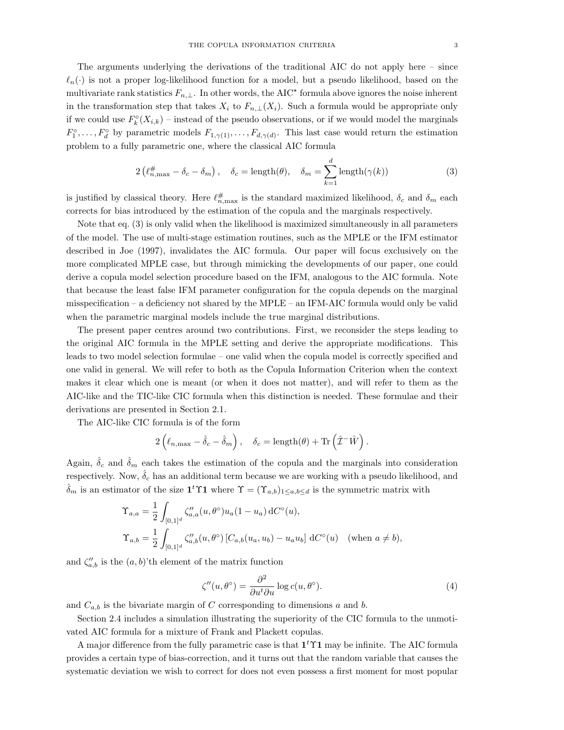The arguments underlying the derivations of the traditional AIC do not apply here – since  $\ell_n(\cdot)$  is not a proper log-likelihood function for a model, but a pseudo likelihood, based on the multivariate rank statistics  $F_{n,\perp}$ . In other words, the AIC<sup>\*</sup> formula above ignores the noise inherent in the transformation step that takes  $X_i$  to  $F_{n,\perp}(X_i)$ . Such a formula would be appropriate only if we could use  $F_k^{\circ}(X_{i,k})$  – instead of the pseudo observations, or if we would model the marginals  $F_1^{\circ}, \ldots, F_d^{\circ}$  by parametric models  $F_{1,\gamma(1)}, \ldots, F_{d,\gamma(d)}$ . This last case would return the estimation problem to a fully parametric one, where the classical AIC formula

$$
2\left(\ell_{n,\max}^{\#}-\delta_c-\delta_m\right), \quad \delta_c=\text{length}(\theta), \quad \delta_m=\sum_{k=1}^d\text{length}(\gamma(k))\tag{3}
$$

is justified by classical theory. Here  $\ell_{n,\max}^{\#}$  is the standard maximized likelihood,  $\delta_c$  and  $\delta_m$  each corrects for bias introduced by the estimation of the copula and the marginals respectively.

Note that eq. (3) is only valid when the likelihood is maximized simultaneously in all parameters of the model. The use of multi-stage estimation routines, such as the MPLE or the IFM estimator described in Joe (1997), invalidates the AIC formula. Our paper will focus exclusively on the more complicated MPLE case, but through mimicking the developments of our paper, one could derive a copula model selection procedure based on the IFM, analogous to the AIC formula. Note that because the least false IFM parameter configuration for the copula depends on the marginal misspecification – a deficiency not shared by the MPLE – an IFM-AIC formula would only be valid when the parametric marginal models include the true marginal distributions.

The present paper centres around two contributions. First, we reconsider the steps leading to the original AIC formula in the MPLE setting and derive the appropriate modifications. This leads to two model selection formulae – one valid when the copula model is correctly specified and one valid in general. We will refer to both as the Copula Information Criterion when the context makes it clear which one is meant (or when it does not matter), and will refer to them as the AIC-like and the TIC-like CIC formula when this distinction is needed. These formulae and their derivations are presented in Section 2.1.

The AIC-like CIC formula is of the form

$$
2(\ell_{n,\max} - \hat{\delta}_c - \hat{\delta}_m), \quad \delta_c = \text{length}(\theta) + \text{Tr}(\hat{\mathcal{I}}^{-1}\hat{W}).
$$

Again,  $\hat{\delta}_c$  and  $\hat{\delta}_m$  each takes the estimation of the copula and the marginals into consideration respectively. Now,  $\hat{\delta}_c$  has an additional term because we are working with a pseudo likelihood, and  $\hat{\delta}_m$  is an estimator of the size  $\mathbf{1}^t \Upsilon \mathbf{1}$  where  $\Upsilon = (\Upsilon_{a,b})_{1 \leq a,b \leq d}$  is the symmetric matrix with

$$
\begin{aligned}\n\Upsilon_{a,a} &= \frac{1}{2} \int_{[0,1]^d} \zeta_{a,a}''(u,\theta^{\circ}) u_a(1-u_a) \, dC^{\circ}(u), \\
\Upsilon_{a,b} &= \frac{1}{2} \int_{[0,1]^d} \zeta_{a,b}''(u,\theta^{\circ}) \left[ C_{a,b}(u_a, u_b) - u_a u_b \right] \, dC^{\circ}(u) \quad (\text{when } a \neq b),\n\end{aligned}
$$

and  $\zeta_{a,b}''$  is the  $(a,b)$ 'th element of the matrix function

$$
\zeta''(u,\theta^{\circ}) = \frac{\partial^2}{\partial u^t \partial u} \log c(u,\theta^{\circ}). \tag{4}
$$

and  $C_{a,b}$  is the bivariate margin of C corresponding to dimensions a and b.

Section 2.4 includes a simulation illustrating the superiority of the CIC formula to the unmotivated AIC formula for a mixture of Frank and Plackett copulas.

A major difference from the fully parametric case is that  $1<sup>t</sup>$  T1 may be infinite. The AIC formula provides a certain type of bias-correction, and it turns out that the random variable that causes the systematic deviation we wish to correct for does not even possess a first moment for most popular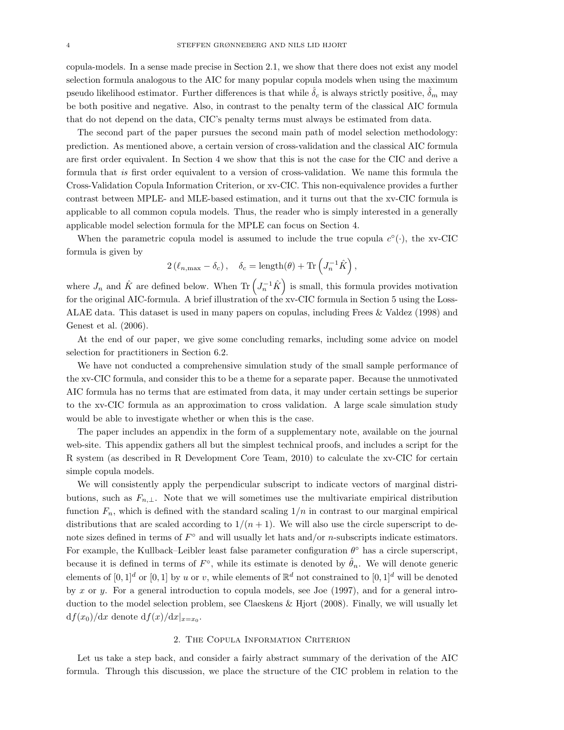copula-models. In a sense made precise in Section 2.1, we show that there does not exist any model selection formula analogous to the AIC for many popular copula models when using the maximum pseudo likelihood estimator. Further differences is that while  $\hat{\delta}_c$  is always strictly positive,  $\hat{\delta}_m$  may be both positive and negative. Also, in contrast to the penalty term of the classical AIC formula that do not depend on the data, CIC's penalty terms must always be estimated from data.

The second part of the paper pursues the second main path of model selection methodology: prediction. As mentioned above, a certain version of cross-validation and the classical AIC formula are first order equivalent. In Section 4 we show that this is not the case for the CIC and derive a formula that is first order equivalent to a version of cross-validation. We name this formula the Cross-Validation Copula Information Criterion, or xv-CIC. This non-equivalence provides a further contrast between MPLE- and MLE-based estimation, and it turns out that the xv-CIC formula is applicable to all common copula models. Thus, the reader who is simply interested in a generally applicable model selection formula for the MPLE can focus on Section 4.

When the parametric copula model is assumed to include the true copula  $c^{\circ}(\cdot)$ , the xv-CIC formula is given by

$$
2(\ell_{n,\max} - \delta_c), \quad \delta_c = \text{length}(\theta) + \text{Tr}\left(J_n^{-1}\hat{K}\right),
$$

where  $J_n$  and  $\hat{K}$  are defined below. When Tr  $(J_n^{-1}\hat{K})$  is small, this formula provides motivation for the original AIC-formula. A brief illustration of the xv-CIC formula in Section 5 using the Loss-ALAE data. This dataset is used in many papers on copulas, including Frees & Valdez (1998) and Genest et al. (2006).

At the end of our paper, we give some concluding remarks, including some advice on model selection for practitioners in Section 6.2.

We have not conducted a comprehensive simulation study of the small sample performance of the xv-CIC formula, and consider this to be a theme for a separate paper. Because the unmotivated AIC formula has no terms that are estimated from data, it may under certain settings be superior to the xv-CIC formula as an approximation to cross validation. A large scale simulation study would be able to investigate whether or when this is the case.

The paper includes an appendix in the form of a supplementary note, available on the journal web-site. This appendix gathers all but the simplest technical proofs, and includes a script for the R system (as described in R Development Core Team, 2010) to calculate the xv-CIC for certain simple copula models.

We will consistently apply the perpendicular subscript to indicate vectors of marginal distributions, such as  $F_{n,\perp}$ . Note that we will sometimes use the multivariate empirical distribution function  $F_n$ , which is defined with the standard scaling  $1/n$  in contrast to our marginal empirical distributions that are scaled according to  $1/(n+1)$ . We will also use the circle superscript to denote sizes defined in terms of  $F^{\circ}$  and will usually let hats and/or *n*-subscripts indicate estimators. For example, the Kullback–Leibler least false parameter configuration  $\theta^{\circ}$  has a circle superscript, because it is defined in terms of  $F^{\circ}$ , while its estimate is denoted by  $\hat{\theta}_n$ . We will denote generic elements of  $[0,1]^d$  or  $[0,1]$  by u or v, while elements of  $\mathbb{R}^d$  not constrained to  $[0,1]^d$  will be denoted by x or y. For a general introduction to copula models, see Joe (1997), and for a general introduction to the model selection problem, see Claeskens & Hjort (2008). Finally, we will usually let  $df(x_0)/dx$  denote  $df(x)/dx|_{x=x_0}$ .

#### 2. The Copula Information Criterion

Let us take a step back, and consider a fairly abstract summary of the derivation of the AIC formula. Through this discussion, we place the structure of the CIC problem in relation to the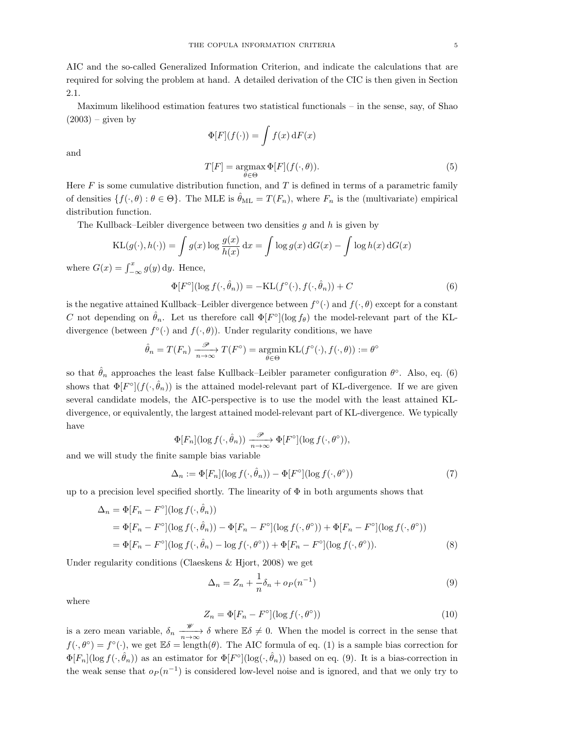AIC and the so-called Generalized Information Criterion, and indicate the calculations that are required for solving the problem at hand. A detailed derivation of the CIC is then given in Section 2.1.

Maximum likelihood estimation features two statistical functionals – in the sense, say, of Shao  $(2003)$  – given by

$$
\Phi[F](f(\cdot)) = \int f(x) \, dF(x)
$$
  

$$
T[F] = \underset{\theta \in \Theta}{\operatorname{argmax}} \Phi[F](f(\cdot, \theta)).
$$
 (5)

and

Here  $F$  is some cumulative distribution function, and  $T$  is defined in terms of a parametric family of densities  $\{f(\cdot,\theta): \theta \in \Theta\}$ . The MLE is  $\hat{\theta}_{ML} = T(F_n)$ , where  $F_n$  is the (multivariate) empirical distribution function.

The Kullback–Leibler divergence between two densities  $g$  and  $h$  is given by

$$
KL(g(\cdot), h(\cdot)) = \int g(x) \log \frac{g(x)}{h(x)} dx = \int \log g(x) dG(x) - \int \log h(x) dG(x)
$$

where  $G(x) = \int_{-\infty}^{x} g(y) dy$ . Hence,

$$
\Phi[F^{\circ}](\log f(\cdot,\hat{\theta}_n)) = -\text{KL}(f^{\circ}(\cdot),f(\cdot,\hat{\theta}_n)) + C
$$
\n(6)

is the negative attained Kullback–Leibler divergence between  $f^{\circ}(\cdot)$  and  $f(\cdot,\theta)$  except for a constant C not depending on  $\hat{\theta}_n$ . Let us therefore call  $\Phi[F^{\circ}](\log f_{\theta})$  the model-relevant part of the KLdivergence (between  $f^{\circ}(\cdot)$  and  $f(\cdot,\theta)$ ). Under regularity conditions, we have

$$
\hat{\theta}_n = T(F_n) \xrightarrow[n \to \infty]{\mathcal{P}} T(F^{\circ}) = \operatorname*{argmin}_{\theta \in \Theta} \mathrm{KL}(f^{\circ}(\cdot), f(\cdot, \theta)) := \theta^{\circ}
$$

so that  $\hat{\theta}_n$  approaches the least false Kullback–Leibler parameter configuration  $\theta^{\circ}$ . Also, eq. (6) shows that  $\Phi[F^{\circ}](f(\cdot,\hat{\theta}_n))$  is the attained model-relevant part of KL-divergence. If we are given several candidate models, the AIC-perspective is to use the model with the least attained KLdivergence, or equivalently, the largest attained model-relevant part of KL-divergence. We typically have

$$
\Phi[F_n](\log f(\cdot, \hat{\theta}_n)) \xrightarrow[n \to \infty]{\mathcal{P}} \Phi[F^{\circ}](\log f(\cdot, \theta^{\circ})),
$$

and we will study the finite sample bias variable

$$
\Delta_n := \Phi[F_n](\log f(\cdot, \hat{\theta}_n)) - \Phi[F^\circ](\log f(\cdot, \theta^\circ))
$$
\n(7)

up to a precision level specified shortly. The linearity of  $\Phi$  in both arguments shows that

$$
\Delta_n = \Phi[F_n - F^{\circ}](\log f(\cdot, \hat{\theta}_n))
$$
  
= 
$$
\Phi[F_n - F^{\circ}](\log f(\cdot, \hat{\theta}_n)) - \Phi[F_n - F^{\circ}](\log f(\cdot, \theta^{\circ})) + \Phi[F_n - F^{\circ}](\log f(\cdot, \theta^{\circ}))
$$
  
= 
$$
\Phi[F_n - F^{\circ}](\log f(\cdot, \hat{\theta}_n) - \log f(\cdot, \theta^{\circ})) + \Phi[F_n - F^{\circ}](\log f(\cdot, \theta^{\circ})).
$$
 (8)

Under regularity conditions (Claeskens & Hjort, 2008) we get

$$
\Delta_n = Z_n + \frac{1}{n} \delta_n + o_P(n^{-1})
$$
\n(9)

where

$$
Z_n = \Phi[F_n - F^\circ](\log f(\cdot, \theta^\circ))
$$
\n(10)

is a zero mean variable,  $\delta_n \xrightarrow[n \to \infty]{\mathscr{W}} \delta$  where  $\mathbb{E}\delta \neq 0$ . When the model is correct in the sense that  $f(\cdot,\theta^{\circ})=f^{\circ}(\cdot)$ , we get  $\mathbb{E}\delta=\text{length}(\theta)$ . The AIC formula of eq. (1) is a sample bias correction for  $\Phi[F_n](\log f(\cdot, \hat{\theta}_n))$  as an estimator for  $\Phi[F^{\circ}](\log(\cdot, \hat{\theta}_n))$  based on eq. (9). It is a bias-correction in the weak sense that  $o_P(n^{-1})$  is considered low-level noise and is ignored, and that we only try to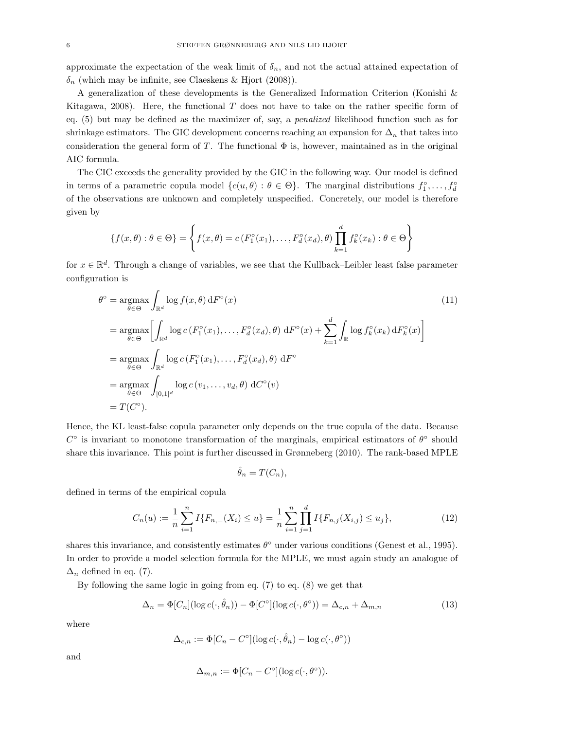approximate the expectation of the weak limit of  $\delta_n$ , and not the actual attained expectation of  $\delta_n$  (which may be infinite, see Claeskens & Hjort (2008)).

A generalization of these developments is the Generalized Information Criterion (Konishi & Kitagawa, 2008). Here, the functional  $T$  does not have to take on the rather specific form of eq. (5) but may be defined as the maximizer of, say, a penalized likelihood function such as for shrinkage estimators. The GIC development concerns reaching an expansion for  $\Delta_n$  that takes into consideration the general form of T. The functional  $\Phi$  is, however, maintained as in the original AIC formula.

The CIC exceeds the generality provided by the GIC in the following way. Our model is defined in terms of a parametric copula model  $\{c(u, \theta) : \theta \in \Theta\}$ . The marginal distributions  $f_1^{\circ}, \ldots, f_d^{\circ}$ of the observations are unknown and completely unspecified. Concretely, our model is therefore given by

$$
\{f(x,\theta): \theta \in \Theta\} = \left\{f(x,\theta) = c\left(F_1^{\circ}(x_1), \ldots, F_d^{\circ}(x_d), \theta\right) \prod_{k=1}^d f_k^{\circ}(x_k) : \theta \in \Theta\right\}
$$

for  $x \in \mathbb{R}^d$ . Through a change of variables, we see that the Kullback–Leibler least false parameter configuration is

$$
\theta^{\circ} = \underset{\theta \in \Theta}{\operatorname{argmax}} \int_{\mathbb{R}^{d}} \log f(x, \theta) dF^{\circ}(x)
$$
\n
$$
= \underset{\theta \in \Theta}{\operatorname{argmax}} \left[ \int_{\mathbb{R}^{d}} \log c \left( F_{1}^{\circ}(x_{1}), \ldots, F_{d}^{\circ}(x_{d}), \theta \right) dF^{\circ}(x) + \sum_{k=1}^{d} \int_{\mathbb{R}} \log f_{k}^{\circ}(x_{k}) dF_{k}^{\circ}(x) \right]
$$
\n
$$
= \underset{\theta \in \Theta}{\operatorname{argmax}} \int_{\mathbb{R}^{d}} \log c \left( F_{1}^{\circ}(x_{1}), \ldots, F_{d}^{\circ}(x_{d}), \theta \right) dF^{\circ}
$$
\n
$$
= \underset{\theta \in \Theta}{\operatorname{argmax}} \int_{[0,1]^{d}} \log c \left( v_{1}, \ldots, v_{d}, \theta \right) dC^{\circ}(v)
$$
\n
$$
= T(C^{\circ}).
$$
\n(11)

Hence, the KL least-false copula parameter only depends on the true copula of the data. Because  $C^{\circ}$  is invariant to monotone transformation of the marginals, empirical estimators of  $\theta^{\circ}$  should share this invariance. This point is further discussed in Grønneberg (2010). The rank-based MPLE

$$
\hat{\theta}_n = T(C_n),
$$

defined in terms of the empirical copula

$$
C_n(u) := \frac{1}{n} \sum_{i=1}^n I\{F_{n,\perp}(X_i) \le u\} = \frac{1}{n} \sum_{i=1}^n \prod_{j=1}^d I\{F_{n,j}(X_{i,j}) \le u_j\},\tag{12}
$$

shares this invariance, and consistently estimates  $\theta^{\circ}$  under various conditions (Genest et al., 1995). In order to provide a model selection formula for the MPLE, we must again study an analogue of  $\Delta_n$  defined in eq. (7).

By following the same logic in going from eq. (7) to eq. (8) we get that

$$
\Delta_n = \Phi[C_n](\log c(\cdot, \hat{\theta}_n)) - \Phi[C^\circ](\log c(\cdot, \theta^\circ)) = \Delta_{c,n} + \Delta_{m,n} \tag{13}
$$

where

$$
\Delta_{c,n} := \Phi[C_n - C^{\circ}](\log c(\cdot, \hat{\theta}_n) - \log c(\cdot, \theta^{\circ}))
$$

and

$$
\Delta_{m,n} := \Phi[C_n - C^{\circ}](\log c(\cdot, \theta^{\circ})).
$$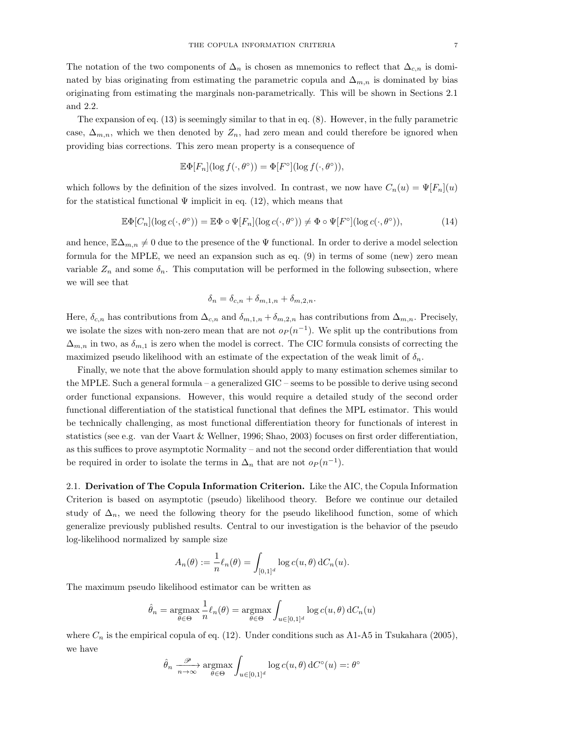The notation of the two components of  $\Delta_n$  is chosen as mnemonics to reflect that  $\Delta_{c,n}$  is dominated by bias originating from estimating the parametric copula and  $\Delta_{m,n}$  is dominated by bias originating from estimating the marginals non-parametrically. This will be shown in Sections 2.1 and 2.2.

The expansion of eq. (13) is seemingly similar to that in eq. (8). However, in the fully parametric case,  $\Delta_{m,n}$ , which we then denoted by  $Z_n$ , had zero mean and could therefore be ignored when providing bias corrections. This zero mean property is a consequence of

$$
\mathbb{E}\Phi[F_n](\log f(\cdot,\theta^{\circ})) = \Phi[F^{\circ}](\log f(\cdot,\theta^{\circ})),
$$

which follows by the definition of the sizes involved. In contrast, we now have  $C_n(u) = \Psi[F_n](u)$ for the statistical functional  $\Psi$  implicit in eq. (12), which means that

$$
\mathbb{E}\Phi[C_n](\log c(\cdot,\theta^{\circ})) = \mathbb{E}\Phi \circ \Psi[F_n](\log c(\cdot,\theta^{\circ})) \neq \Phi \circ \Psi[F^{\circ}](\log c(\cdot,\theta^{\circ})),\tag{14}
$$

and hence,  $\mathbb{E}\Delta_{m,n}\neq 0$  due to the presence of the  $\Psi$  functional. In order to derive a model selection formula for the MPLE, we need an expansion such as eq. (9) in terms of some (new) zero mean variable  $Z_n$  and some  $\delta_n$ . This computation will be performed in the following subsection, where we will see that

$$
\delta_n = \delta_{c,n} + \delta_{m,1,n} + \delta_{m,2,n}.
$$

Here,  $\delta_{c,n}$  has contributions from  $\Delta_{c,n}$  and  $\delta_{m,1,n} + \delta_{m,2,n}$  has contributions from  $\Delta_{m,n}$ . Precisely, we isolate the sizes with non-zero mean that are not  $o_P(n^{-1})$ . We split up the contributions from  $\Delta_{m,n}$  in two, as  $\delta_{m,1}$  is zero when the model is correct. The CIC formula consists of correcting the maximized pseudo likelihood with an estimate of the expectation of the weak limit of  $\delta_n$ .

Finally, we note that the above formulation should apply to many estimation schemes similar to the MPLE. Such a general formula – a generalized GIC – seems to be possible to derive using second order functional expansions. However, this would require a detailed study of the second order functional differentiation of the statistical functional that defines the MPL estimator. This would be technically challenging, as most functional differentiation theory for functionals of interest in statistics (see e.g. van der Vaart & Wellner, 1996; Shao, 2003) focuses on first order differentiation, as this suffices to prove asymptotic Normality – and not the second order differentiation that would be required in order to isolate the terms in  $\Delta_n$  that are not  $o_P(n^{-1})$ .

2.1. Derivation of The Copula Information Criterion. Like the AIC, the Copula Information Criterion is based on asymptotic (pseudo) likelihood theory. Before we continue our detailed study of  $\Delta_n$ , we need the following theory for the pseudo likelihood function, some of which generalize previously published results. Central to our investigation is the behavior of the pseudo log-likelihood normalized by sample size

$$
A_n(\theta) := \frac{1}{n} \ell_n(\theta) = \int_{[0,1]^d} \log c(u,\theta) dC_n(u).
$$

The maximum pseudo likelihood estimator can be written as

$$
\hat{\theta}_n = \underset{\theta \in \Theta}{\operatorname{argmax}} \frac{1}{n} \ell_n(\theta) = \underset{\theta \in \Theta}{\operatorname{argmax}} \int_{u \in [0,1]^d} \log c(u,\theta) dC_n(u)
$$

where  $C_n$  is the empirical copula of eq. (12). Under conditions such as A1-A5 in Tsukahara (2005), we have

$$
\hat{\theta}_n \xrightarrow[n \to \infty]{} \underset{\theta \in \Theta}{\longrightarrow} \underset{\theta \in \Theta}{{\operatorname{argmax}} \int_{u \in [0,1]^d} \log c(u,\theta) dC^{\circ}(u) =: \theta^{\circ}}
$$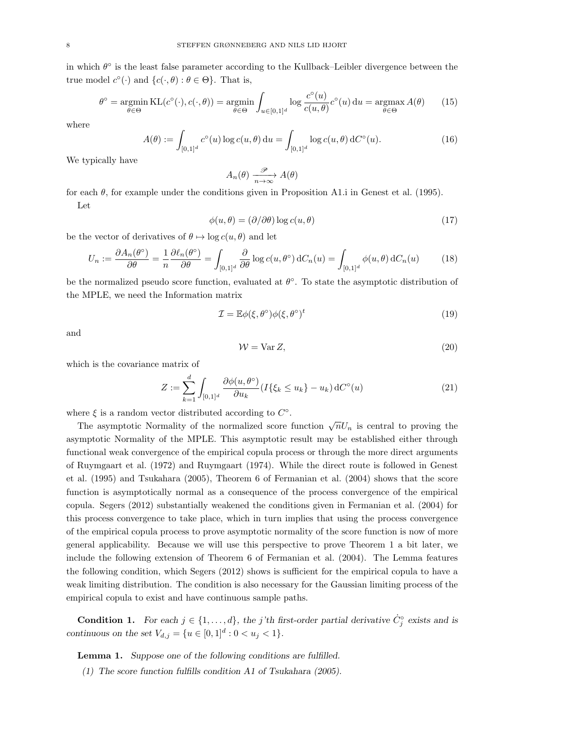in which  $\theta^{\circ}$  is the least false parameter according to the Kullback–Leibler divergence between the true model  $c^{\circ}(\cdot)$  and  $\{c(\cdot,\theta):\theta\in\Theta\}$ . That is,

$$
\theta^{\circ} = \underset{\theta \in \Theta}{\operatorname{argmin}} \operatorname{KL}(c^{\circ}(\cdot), c(\cdot, \theta)) = \underset{\theta \in \Theta}{\operatorname{argmin}} \int_{u \in [0,1]^{d}} \log \frac{c^{\circ}(u)}{c(u, \theta)} c^{\circ}(u) du = \underset{\theta \in \Theta}{\operatorname{argmax}} A(\theta) \qquad (15)
$$

where

$$
A(\theta) := \int_{[0,1]^d} c^{\circ}(u) \log c(u,\theta) \, \mathrm{d}u = \int_{[0,1]^d} \log c(u,\theta) \, \mathrm{d}C^{\circ}(u). \tag{16}
$$

We typically have

$$
A_n(\theta) \xrightarrow[n \to \infty]{\mathscr{P}} A(\theta)
$$

for each  $\theta$ , for example under the conditions given in Proposition A1.i in Genest et al. (1995). Let

$$
\phi(u,\theta) = (\partial/\partial \theta) \log c(u,\theta) \tag{17}
$$

be the vector of derivatives of  $\theta \mapsto \log c(u, \theta)$  and let

$$
U_n := \frac{\partial A_n(\theta^{\circ})}{\partial \theta} = \frac{1}{n} \frac{\partial \ell_n(\theta^{\circ})}{\partial \theta} = \int_{[0,1]^d} \frac{\partial}{\partial \theta} \log c(u, \theta^{\circ}) \, dC_n(u) = \int_{[0,1]^d} \phi(u, \theta) \, dC_n(u) \tag{18}
$$

be the normalized pseudo score function, evaluated at  $\theta^{\circ}$ . To state the asymptotic distribution of the MPLE, we need the Information matrix

$$
\mathcal{I} = \mathbb{E}\phi(\xi, \theta^{\circ})\phi(\xi, \theta^{\circ})^t
$$
\n(19)

and

$$
W = \text{Var}\,Z,\tag{20}
$$

which is the covariance matrix of

$$
Z := \sum_{k=1}^{d} \int_{[0,1]^d} \frac{\partial \phi(u, \theta^{\circ})}{\partial u_k} (I\{\xi_k \le u_k\} - u_k) dC^{\circ}(u)
$$
 (21)

where  $\xi$  is a random vector distributed according to  $C^{\circ}$ .

The asymptotic Normality of the normalized score function  $\sqrt{n}U_n$  is central to proving the asymptotic Normality of the MPLE. This asymptotic result may be established either through functional weak convergence of the empirical copula process or through the more direct arguments of Ruymgaart et al. (1972) and Ruymgaart (1974). While the direct route is followed in Genest et al. (1995) and Tsukahara (2005), Theorem 6 of Fermanian et al. (2004) shows that the score function is asymptotically normal as a consequence of the process convergence of the empirical copula. Segers (2012) substantially weakened the conditions given in Fermanian et al. (2004) for this process convergence to take place, which in turn implies that using the process convergence of the empirical copula process to prove asymptotic normality of the score function is now of more general applicability. Because we will use this perspective to prove Theorem 1 a bit later, we include the following extension of Theorem 6 of Fermanian et al. (2004). The Lemma features the following condition, which Segers (2012) shows is sufficient for the empirical copula to have a weak limiting distribution. The condition is also necessary for the Gaussian limiting process of the empirical copula to exist and have continuous sample paths.

**Condition 1.** For each  $j \in \{1, ..., d\}$ , the j'th first-order partial derivative  $\dot{C}_j^{\circ}$  exists and is continuous on the set  $V_{d,j} = \{u \in [0,1]^d : 0 < u_j < 1\}.$ 

Lemma 1. Suppose one of the following conditions are fulfilled.

(1) The score function fulfills condition A1 of Tsukahara (2005).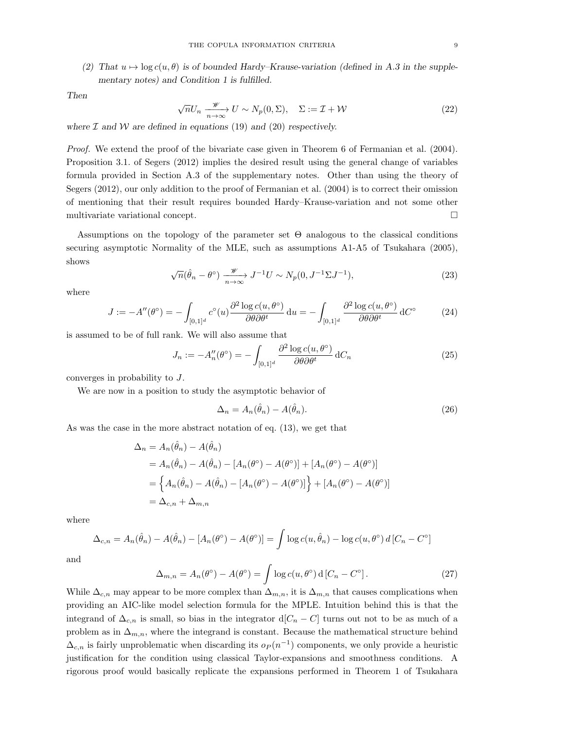(2) That  $u \mapsto \log c(u, \theta)$  is of bounded Hardy–Krause-variation (defined in A.3 in the supplementary notes) and Condition 1 is fulfilled.

Then

$$
\sqrt{n}U_n \xrightarrow[n \to \infty]{\mathscr{W}} U \sim N_p(0, \Sigma), \quad \Sigma := \mathcal{I} + \mathcal{W}
$$
\n(22)

where  $\mathcal I$  and  $\mathcal W$  are defined in equations (19) and (20) respectively.

Proof. We extend the proof of the bivariate case given in Theorem 6 of Fermanian et al. (2004). Proposition 3.1. of Segers (2012) implies the desired result using the general change of variables formula provided in Section A.3 of the supplementary notes. Other than using the theory of Segers (2012), our only addition to the proof of Fermanian et al. (2004) is to correct their omission of mentioning that their result requires bounded Hardy–Krause-variation and not some other multivariate variational concept.

Assumptions on the topology of the parameter set Θ analogous to the classical conditions securing asymptotic Normality of the MLE, such as assumptions A1-A5 of Tsukahara (2005), shows

$$
\sqrt{n}(\hat{\theta}_n - \theta^{\circ}) \xrightarrow[n \to \infty]{\mathscr{W}} J^{-1}U \sim N_p(0, J^{-1}\Sigma J^{-1}),
$$
\n(23)

where

$$
J := -A''(\theta^{\circ}) = -\int_{[0,1]^d} c^{\circ}(u) \frac{\partial^2 \log c(u, \theta^{\circ})}{\partial \theta \partial \theta^t} du = -\int_{[0,1]^d} \frac{\partial^2 \log c(u, \theta^{\circ})}{\partial \theta \partial \theta^t} dC^{\circ}
$$
 (24)

is assumed to be of full rank. We will also assume that

$$
J_n := -A_n''(\theta^\circ) = -\int_{[0,1]^d} \frac{\partial^2 \log c(u, \theta^\circ)}{\partial \theta \partial \theta^t} dC_n \tag{25}
$$

converges in probability to J.

We are now in a position to study the asymptotic behavior of

$$
\Delta_n = A_n(\hat{\theta}_n) - A(\hat{\theta}_n). \tag{26}
$$

As was the case in the more abstract notation of eq. (13), we get that

$$
\Delta_n = A_n(\hat{\theta}_n) - A(\hat{\theta}_n)
$$
  
=  $A_n(\hat{\theta}_n) - A(\hat{\theta}_n) - [A_n(\theta^{\circ}) - A(\theta^{\circ})] + [A_n(\theta^{\circ}) - A(\theta^{\circ})]$   
=  $\{A_n(\hat{\theta}_n) - A(\hat{\theta}_n) - [A_n(\theta^{\circ}) - A(\theta^{\circ})] \} + [A_n(\theta^{\circ}) - A(\theta^{\circ})]$   
=  $\Delta_{c,n} + \Delta_{m,n}$ 

where

$$
\Delta_{c,n} = A_n(\hat{\theta}_n) - A(\hat{\theta}_n) - [A_n(\theta^{\circ}) - A(\theta^{\circ})] = \int \log c(u, \hat{\theta}_n) - \log c(u, \theta^{\circ}) d[C_n - C^{\circ}]
$$

and

$$
\Delta_{m,n} = A_n(\theta^\circ) - A(\theta^\circ) = \int \log c(u, \theta^\circ) \, d\left[C_n - C^\circ\right].\tag{27}
$$

While  $\Delta_{c,n}$  may appear to be more complex than  $\Delta_{m,n}$ , it is  $\Delta_{m,n}$  that causes complications when providing an AIC-like model selection formula for the MPLE. Intuition behind this is that the integrand of  $\Delta_{c,n}$  is small, so bias in the integrator d[ $C_n - C$ ] turns out not to be as much of a problem as in  $\Delta_{m,n}$ , where the integrand is constant. Because the mathematical structure behind  $\Delta_{c,n}$  is fairly unproblematic when discarding its  $o_P(n^{-1})$  components, we only provide a heuristic justification for the condition using classical Taylor-expansions and smoothness conditions. A rigorous proof would basically replicate the expansions performed in Theorem 1 of Tsukahara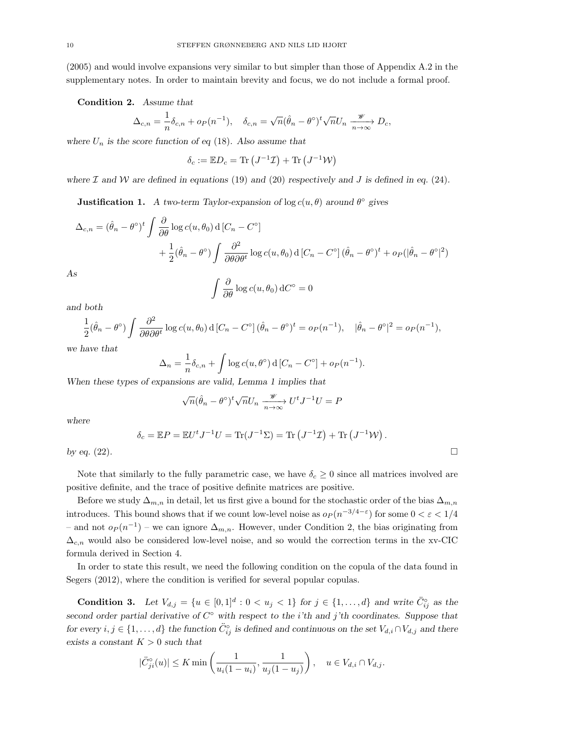(2005) and would involve expansions very similar to but simpler than those of Appendix A.2 in the supplementary notes. In order to maintain brevity and focus, we do not include a formal proof.

Condition 2. Assume that

$$
\Delta_{c,n} = \frac{1}{n} \delta_{c,n} + o_P(n^{-1}), \quad \delta_{c,n} = \sqrt{n} (\hat{\theta}_n - \theta^{\circ})^t \sqrt{n} U_n \xrightarrow[n \to \infty]{\mathscr{W}} D_c,
$$

where  $U_n$  is the score function of eq (18). Also assume that

$$
\delta_c := \mathbb{E} D_c = \text{Tr} (J^{-1} \mathcal{I}) + \text{Tr} (J^{-1} \mathcal{W})
$$

where  $\mathcal I$  and  $\mathcal W$  are defined in equations (19) and (20) respectively and J is defined in eq. (24).

**Justification 1.** A two-term Taylor-expansion of  $\log c(u, \theta)$  around  $\theta^{\circ}$  gives

$$
\Delta_{c,n} = (\hat{\theta}_n - \theta^{\circ})^t \int \frac{\partial}{\partial \theta} \log c(u, \theta_0) d[C_n - C^{\circ}]
$$
  
+  $\frac{1}{2} (\hat{\theta}_n - \theta^{\circ}) \int \frac{\partial^2}{\partial \theta \partial \theta^t} \log c(u, \theta_0) d[C_n - C^{\circ}] (\hat{\theta}_n - \theta^{\circ})^t + o_P(|\hat{\theta}_n - \theta^{\circ}|^2)$   
As

$$
\sim
$$

$$
\int \frac{\partial}{\partial \theta} \log c(u, \theta_0) \, dC^{\circ} = 0
$$

and both

$$
\frac{1}{2}(\hat{\theta}_n - \theta^{\circ}) \int \frac{\partial^2}{\partial \theta \partial \theta^t} \log c(u, \theta_0) d[C_n - C^{\circ}] (\hat{\theta}_n - \theta^{\circ})^t = o_P(n^{-1}), \quad |\hat{\theta}_n - \theta^{\circ}|^2 = o_P(n^{-1}),
$$

we have that

$$
\Delta_n = \frac{1}{n} \delta_{c,n} + \int \log c(u, \theta^{\circ}) d[C_n - C^{\circ}] + o_P(n^{-1}).
$$

When these types of expansions are valid, Lemma 1 implies that

$$
\sqrt{n}(\hat{\theta}_n - \theta^{\circ})^t \sqrt{n} U_n \xrightarrow[n \to \infty]{\mathscr{W}} U^t J^{-1} U = P
$$

where

$$
\delta_c = \mathbb{E}P = \mathbb{E}U^t J^{-1}U = \text{Tr}(J^{-1}\Sigma) = \text{Tr}(J^{-1}\mathcal{I}) + \text{Tr}(J^{-1}\mathcal{W}).
$$

by eq.  $(22)$ .

Note that similarly to the fully parametric case, we have  $\delta_c \geq 0$  since all matrices involved are positive definite, and the trace of positive definite matrices are positive.

Before we study  $\Delta_{m,n}$  in detail, let us first give a bound for the stochastic order of the bias  $\Delta_{m,n}$ introduces. This bound shows that if we count low-level noise as  $o_P(n^{-3/4-\epsilon})$  for some  $0 < \varepsilon < 1/4$ – and not  $o_P(n^{-1})$  – we can ignore  $\Delta_{m,n}$ . However, under Condition 2, the bias originating from  $\Delta_{c,n}$  would also be considered low-level noise, and so would the correction terms in the xv-CIC formula derived in Section 4.

In order to state this result, we need the following condition on the copula of the data found in Segers (2012), where the condition is verified for several popular copulas.

**Condition 3.** Let  $V_{d,j} = \{u \in [0,1]^d : 0 < u_j < 1\}$  for  $j \in \{1, ..., d\}$  and write  $\ddot{C}_{ij}^{\circ}$  as the second order partial derivative of  $C^{\circ}$  with respect to the *i*'th and *j*'th coordinates. Suppose that for every  $i, j \in \{1, ..., d\}$  the function  $\ddot{C}_{ij}^{\circ}$  is defined and continuous on the set  $V_{d,i} \cap V_{d,j}$  and there exists a constant  $K > 0$  such that

$$
|\ddot{C}_{ji}^{\circ}(u)| \le K \min\left(\frac{1}{u_i(1-u_i)}, \frac{1}{u_j(1-u_j)}\right), \quad u \in V_{d,i} \cap V_{d,j}.
$$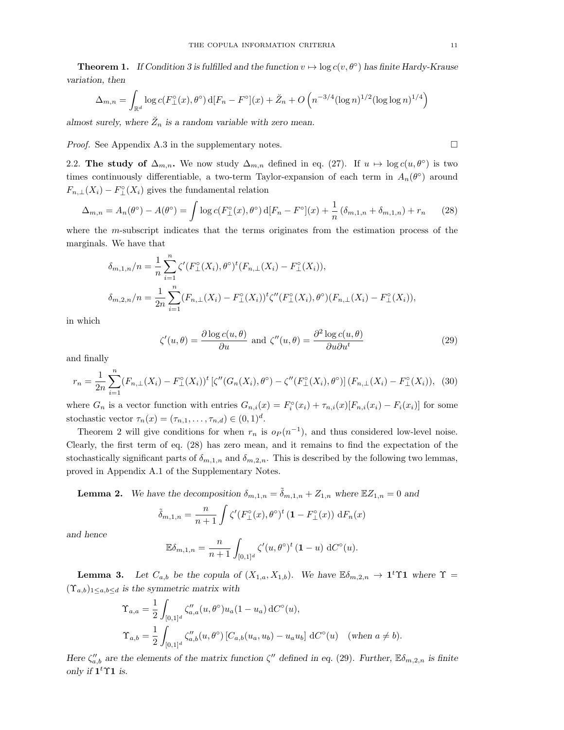**Theorem 1.** If Condition 3 is fulfilled and the function  $v \mapsto \log c(v, \theta^{\circ})$  has finite Hardy-Krause variation, then

$$
\Delta_{m,n} = \int_{\mathbb{R}^d} \log c(F_{\perp}^{\circ}(x), \theta^{\circ}) d[F_n - F^{\circ}](x) + \breve{Z}_n + O\left(n^{-3/4} (\log n)^{1/2} (\log \log n)^{1/4}\right)
$$

almost surely, where  $\check{Z}_n$  is a random variable with zero mean.

*Proof.* See Appendix A.3 in the supplementary notes.  $\Box$ 

2.2. The study of  $\Delta_{m,n}$ . We now study  $\Delta_{m,n}$  defined in eq. (27). If  $u \mapsto \log c(u, \theta^{\circ})$  is two times continuously differentiable, a two-term Taylor-expansion of each term in  $A_n(\theta^{\circ})$  around  $F_{n,\perp}(X_i) - F_{\perp}^{\circ}(X_i)$  gives the fundamental relation

$$
\Delta_{m,n} = A_n(\theta^{\circ}) - A(\theta^{\circ}) = \int \log c(F_{\perp}^{\circ}(x), \theta^{\circ}) d[F_n - F^{\circ}](x) + \frac{1}{n} (\delta_{m,1,n} + \delta_{m,1,n}) + r_n \tag{28}
$$

where the m-subscript indicates that the terms originates from the estimation process of the marginals. We have that

$$
\delta_{m,1,n}/n = \frac{1}{n} \sum_{i=1}^{n} \zeta'(F_{\perp}^{\circ}(X_i), \theta^{\circ})^t(F_{n,\perp}(X_i) - F_{\perp}^{\circ}(X_i)),
$$
  

$$
\delta_{m,2,n}/n = \frac{1}{2n} \sum_{i=1}^{n} (F_{n,\perp}(X_i) - F_{\perp}^{\circ}(X_i))^t \zeta''(F_{\perp}^{\circ}(X_i), \theta^{\circ})(F_{n,\perp}(X_i) - F_{\perp}^{\circ}(X_i)),
$$

in which

$$
\zeta'(u,\theta) = \frac{\partial \log c(u,\theta)}{\partial u} \text{ and } \zeta''(u,\theta) = \frac{\partial^2 \log c(u,\theta)}{\partial u \partial u^t}
$$
\n(29)

and finally

$$
r_n = \frac{1}{2n} \sum_{i=1}^n (F_{n,\perp}(X_i) - F_{\perp}^{\circ}(X_i))^t \left[ \zeta''(G_n(X_i), \theta^{\circ}) - \zeta''(F_{\perp}^{\circ}(X_i), \theta^{\circ}) \right] (F_{n,\perp}(X_i) - F_{\perp}^{\circ}(X_i)), \tag{30}
$$

where  $G_n$  is a vector function with entries  $G_{n,i}(x) = F_i^{\circ}(x_i) + \tau_{n,i}(x)[F_{n,i}(x_i) - F_i(x_i)]$  for some stochastic vector  $\tau_n(x) = (\tau_{n,1}, \ldots, \tau_{n,d}) \in (0,1)^d$ .

Theorem 2 will give conditions for when  $r_n$  is  $o_P(n^{-1})$ , and thus considered low-level noise. Clearly, the first term of eq. (28) has zero mean, and it remains to find the expectation of the stochastically significant parts of  $\delta_{m,1,n}$  and  $\delta_{m,2,n}$ . This is described by the following two lemmas, proved in Appendix A.1 of the Supplementary Notes.

**Lemma 2.** We have the decomposition  $\delta_{m,1,n} = \tilde{\delta}_{m,1,n} + Z_{1,n}$  where  $\mathbb{E}Z_{1,n} = 0$  and

$$
\tilde{\delta}_{m,1,n} = \frac{n}{n+1} \int \zeta'(F_{\perp}^{\circ}(x), \theta^{\circ})^t \left(1 - F_{\perp}^{\circ}(x)\right) dF_n(x)
$$

and hence

$$
\mathbb{E}\delta_{m,1,n} = \frac{n}{n+1} \int_{[0,1]^d} \zeta'(u,\theta^{\circ})^t (\mathbf{1}-u) dC^{\circ}(u).
$$

**Lemma 3.** Let  $C_{a,b}$  be the copula of  $(X_{1,a}, X_{1,b})$ . We have  $\mathbb{E}\delta_{m,2,n} \to \mathbf{1}^t\Upsilon\mathbf{1}$  where  $\Upsilon$  $(\Upsilon_{a,b})_{1\leq a,b\leq d}$  is the symmetric matrix with

$$
\begin{split} \Upsilon_{a,a} &= \frac{1}{2} \int_{[0,1]^d} \zeta_{a,a}''(u,\theta^{\circ}) u_a(1-u_a) \, \mathrm{d}C^{\circ}(u), \\ \Upsilon_{a,b} &= \frac{1}{2} \int_{[0,1]^d} \zeta_{a,b}''(u,\theta^{\circ}) \left[ C_{a,b}(u_a, u_b) - u_a u_b \right] \, \mathrm{d}C^{\circ}(u) \quad (\text{when } a \neq b). \end{split}
$$

Here  $\zeta_{a,b}''$  are the elements of the matrix function  $\zeta''$  defined in eq. (29). Further,  $\mathbb{E}\delta_{m,2,n}$  is finite only if  $1<sup>t</sup>$   $\Upsilon$ 1 is.

$$
\overline{\Box}
$$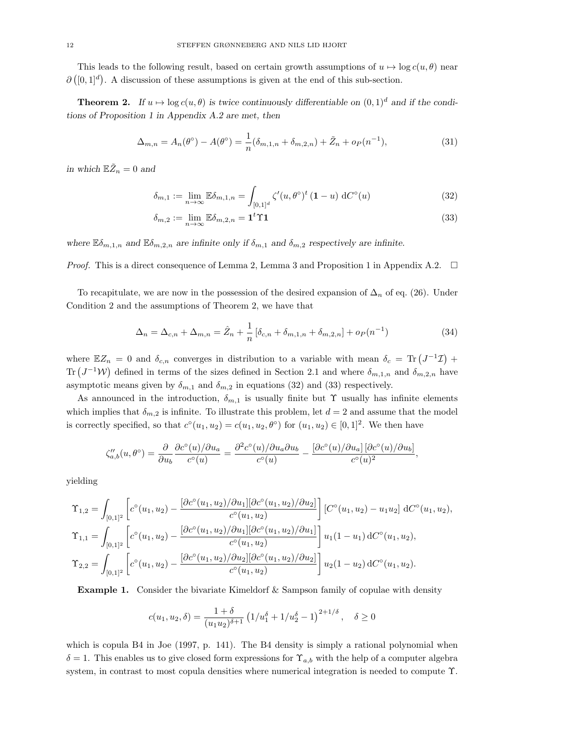This leads to the following result, based on certain growth assumptions of  $u \mapsto \log c(u, \theta)$  near  $\partial([0,1]^d)$ . A discussion of these assumptions is given at the end of this sub-section.

**Theorem 2.** If  $u \mapsto \log c(u, \theta)$  is twice continuously differentiable on  $(0, 1)^d$  and if the conditions of Proposition 1 in Appendix A.2 are met, then

$$
\Delta_{m,n} = A_n(\theta^{\circ}) - A(\theta^{\circ}) = \frac{1}{n} (\delta_{m,1,n} + \delta_{m,2,n}) + \tilde{Z}_n + o_P(n^{-1}),
$$
\n(31)

in which  $\mathbb{E} \tilde{Z}_n = 0$  and

$$
\delta_{m,1} := \lim_{n \to \infty} \mathbb{E} \delta_{m,1,n} = \int_{[0,1]^d} \zeta'(u,\theta^\circ)^t (\mathbf{1} - u) \, dC^\circ(u) \tag{32}
$$

$$
\delta_{m,2} := \lim_{n \to \infty} \mathbb{E}\delta_{m,2,n} = \mathbf{1}^t \Upsilon \mathbf{1}
$$
\n(33)

where  $\mathbb{E} \delta_{m,1,n}$  and  $\mathbb{E} \delta_{m,2,n}$  are infinite only if  $\delta_{m,1}$  and  $\delta_{m,2}$  respectively are infinite.

*Proof.* This is a direct consequence of Lemma 2, Lemma 3 and Proposition 1 in Appendix A.2.  $\Box$ 

To recapitulate, we are now in the possession of the desired expansion of  $\Delta_n$  of eq. (26). Under Condition 2 and the assumptions of Theorem 2, we have that

$$
\Delta_n = \Delta_{c,n} + \Delta_{m,n} = \hat{Z}_n + \frac{1}{n} \left[ \delta_{c,n} + \delta_{m,1,n} + \delta_{m,2,n} \right] + o_P(n^{-1}) \tag{34}
$$

where  $\mathbb{E}Z_n = 0$  and  $\delta_{c,n}$  converges in distribution to a variable with mean  $\delta_c = \text{Tr} (J^{-1}\mathcal{I}) +$ Tr  $(J^{-1}W)$  defined in terms of the sizes defined in Section 2.1 and where  $\delta_{m,1,n}$  and  $\delta_{m,2,n}$  have asymptotic means given by  $\delta_{m,1}$  and  $\delta_{m,2}$  in equations (32) and (33) respectively.

As announced in the introduction,  $\delta_{m,1}$  is usually finite but  $\Upsilon$  usually has infinite elements which implies that  $\delta_{m,2}$  is infinite. To illustrate this problem, let  $d = 2$  and assume that the model is correctly specified, so that  $c^{\circ}(u_1, u_2) = c(u_1, u_2, \theta^{\circ})$  for  $(u_1, u_2) \in [0, 1]^2$ . We then have

$$
\zeta''_{a,b}(u,\theta^{\circ}) = \frac{\partial}{\partial u_b} \frac{\partial c^{\circ}(u)/\partial u_a}{c^{\circ}(u)} = \frac{\partial^2 c^{\circ}(u)/\partial u_a \partial u_b}{c^{\circ}(u)} - \frac{\left[\partial c^{\circ}(u)/\partial u_a\right] \left[\partial c^{\circ}(u)/\partial u_b\right]}{c^{\circ}(u)^2},
$$

yielding

$$
\begin{split}\n\Upsilon_{1,2} &= \int_{[0,1]^2} \left[ c^\circ(u_1, u_2) - \frac{[\partial c^\circ(u_1, u_2)/\partial u_1][\partial c^\circ(u_1, u_2)/\partial u_2]}{c^\circ(u_1, u_2)} \right] \left[ C^\circ(u_1, u_2) - u_1 u_2 \right] \, \mathrm{d}C^\circ(u_1, u_2), \\
\Upsilon_{1,1} &= \int_{[0,1]^2} \left[ c^\circ(u_1, u_2) - \frac{[\partial c^\circ(u_1, u_2)/\partial u_1][\partial c^\circ(u_1, u_2)/\partial u_1]}{c^\circ(u_1, u_2)} \right] u_1(1 - u_1) \, \mathrm{d}C^\circ(u_1, u_2), \\
\Upsilon_{2,2} &= \int_{[0,1]^2} \left[ c^\circ(u_1, u_2) - \frac{[\partial c^\circ(u_1, u_2)/\partial u_2][\partial c^\circ(u_1, u_2)/\partial u_2]}{c^\circ(u_1, u_2)} \right] u_2(1 - u_2) \, \mathrm{d}C^\circ(u_1, u_2).\n\end{split}
$$

Example 1. Consider the bivariate Kimeldorf & Sampson family of copulae with density

$$
c(u_1, u_2, \delta) = \frac{1+\delta}{(u_1 u_2)^{\delta+1}} \left( \frac{1}{u_1^{\delta} + 1}{u_2^{\delta} - 1} \right)^{2+1/\delta}, \quad \delta \ge 0
$$

which is copula B4 in Joe (1997, p. 141). The B4 density is simply a rational polynomial when  $\delta = 1$ . This enables us to give closed form expressions for  $\Upsilon_{a,b}$  with the help of a computer algebra system, in contrast to most copula densities where numerical integration is needed to compute Υ.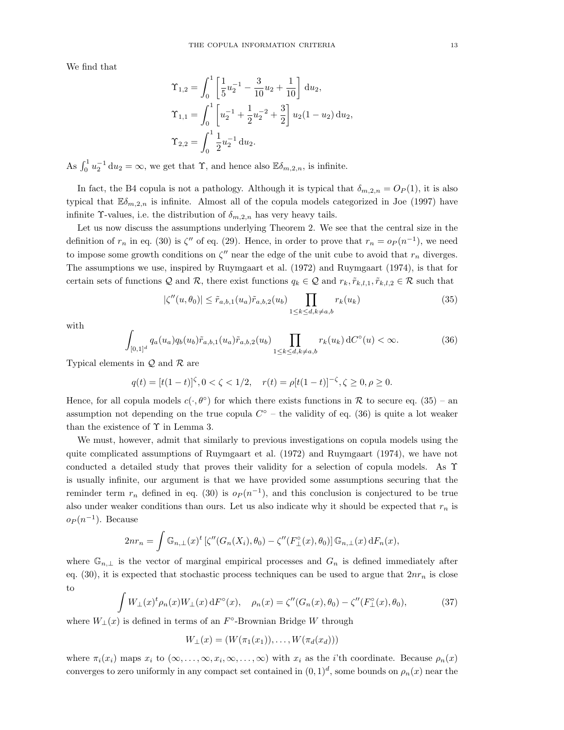We find that

$$
\begin{aligned}\n\Upsilon_{1,2} &= \int_0^1 \left[ \frac{1}{5} u_2^{-1} - \frac{3}{10} u_2 + \frac{1}{10} \right] du_2, \\
\Upsilon_{1,1} &= \int_0^1 \left[ u_2^{-1} + \frac{1}{2} u_2^{-2} + \frac{3}{2} \right] u_2 (1 - u_2) du_2, \\
\Upsilon_{2,2} &= \int_0^1 \frac{1}{2} u_2^{-1} du_2.\n\end{aligned}
$$

As  $\int_0^1 u_2^{-1} du_2 = \infty$ , we get that  $\Upsilon$ , and hence also  $\mathbb{E}\delta_{m,2,n}$ , is infinite.

In fact, the B4 copula is not a pathology. Although it is typical that  $\delta_{m,2,n} = O_P(1)$ , it is also typical that  $\mathbb{E}\delta_{m,2,n}$  is infinite. Almost all of the copula models categorized in Joe (1997) have infinite  $\Upsilon$ -values, i.e. the distribution of  $\delta_{m,2,n}$  has very heavy tails.

Let us now discuss the assumptions underlying Theorem 2. We see that the central size in the definition of  $r_n$  in eq. (30) is  $\zeta''$  of eq. (29). Hence, in order to prove that  $r_n = o_P(n^{-1})$ , we need to impose some growth conditions on  $\zeta''$  near the edge of the unit cube to avoid that  $r_n$  diverges. The assumptions we use, inspired by Ruymgaart et al. (1972) and Ruymgaart (1974), is that for certain sets of functions Q and R, there exist functions  $q_k \in \mathcal{Q}$  and  $r_k, \tilde{r}_{k,l,1}, \tilde{r}_{k,l,2} \in \mathcal{R}$  such that

$$
|\zeta''(u,\theta_0)| \le \tilde{r}_{a,b,1}(u_a)\tilde{r}_{a,b,2}(u_b) \prod_{1 \le k \le d, k \ne a,b} r_k(u_k)
$$
\n(35)

with

$$
\int_{[0,1]^d} q_a(u_a) q_b(u_b) \tilde{r}_{a,b,1}(u_a) \tilde{r}_{a,b,2}(u_b) \prod_{1 \le k \le d, k \ne a,b} r_k(u_k) dC^{\circ}(u) < \infty.
$$
 (36)

Typical elements in  $\mathcal Q$  and  $\mathcal R$  are

$$
q(t) = [t(1-t)]^{\zeta}, 0 < \zeta < 1/2, \quad r(t) = \rho[t(1-t)]^{-\zeta}, \zeta \ge 0, \rho \ge 0.
$$

Hence, for all copula models  $c(\cdot,\theta^{\circ})$  for which there exists functions in R to secure eq. (35) – an assumption not depending on the true copula  $C^{\circ}$  – the validity of eq. (36) is quite a lot weaker than the existence of  $\Upsilon$  in Lemma 3.

We must, however, admit that similarly to previous investigations on copula models using the quite complicated assumptions of Ruymgaart et al. (1972) and Ruymgaart (1974), we have not conducted a detailed study that proves their validity for a selection of copula models. As Υ is usually infinite, our argument is that we have provided some assumptions securing that the reminder term  $r_n$  defined in eq. (30) is  $o_P(n^{-1})$ , and this conclusion is conjectured to be true also under weaker conditions than ours. Let us also indicate why it should be expected that  $r_n$  is  $o_P(n^{-1})$ . Because

$$
2nr_n = \int \mathbb{G}_{n,\perp}(x)^t \left[\zeta''(G_n(X_i), \theta_0) - \zeta''(F^\circ_{\perp}(x), \theta_0)\right] \mathbb{G}_{n,\perp}(x) dF_n(x),
$$

where  $\mathbb{G}_{n,\perp}$  is the vector of marginal empirical processes and  $G_n$  is defined immediately after eq. (30), it is expected that stochastic process techniques can be used to argue that  $2nr_n$  is close to

$$
\int W_{\perp}(x)^{t} \rho_{n}(x) W_{\perp}(x) dF^{\circ}(x), \quad \rho_{n}(x) = \zeta''(G_{n}(x), \theta_{0}) - \zeta''(F^{\circ}_{\perp}(x), \theta_{0}), \tag{37}
$$

where  $W_{\perp}(x)$  is defined in terms of an  $F^{\circ}$ -Brownian Bridge W through

$$
W_{\perp}(x) = (W(\pi_1(x_1)), \ldots, W(\pi_d(x_d)))
$$

where  $\pi_i(x_i)$  maps  $x_i$  to  $(\infty, \ldots, \infty, x_i, \infty, \ldots, \infty)$  with  $x_i$  as the *i*'th coordinate. Because  $\rho_n(x)$ converges to zero uniformly in any compact set contained in  $(0, 1)<sup>d</sup>$ , some bounds on  $\rho_n(x)$  near the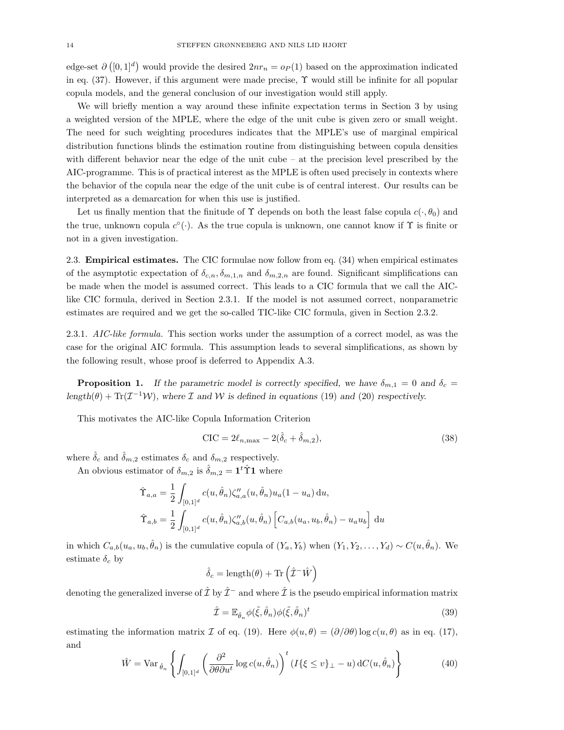edge-set  $\partial([0,1]^d)$  would provide the desired  $2nr_n = o_P(1)$  based on the approximation indicated in eq.  $(37)$ . However, if this argument were made precise,  $\Upsilon$  would still be infinite for all popular copula models, and the general conclusion of our investigation would still apply.

We will briefly mention a way around these infinite expectation terms in Section 3 by using a weighted version of the MPLE, where the edge of the unit cube is given zero or small weight. The need for such weighting procedures indicates that the MPLE's use of marginal empirical distribution functions blinds the estimation routine from distinguishing between copula densities with different behavior near the edge of the unit cube – at the precision level prescribed by the AIC-programme. This is of practical interest as the MPLE is often used precisely in contexts where the behavior of the copula near the edge of the unit cube is of central interest. Our results can be interpreted as a demarcation for when this use is justified.

Let us finally mention that the finitude of  $\Upsilon$  depends on both the least false copula  $c(\cdot, \theta_0)$  and the true, unknown copula  $c^{\circ}(\cdot)$ . As the true copula is unknown, one cannot know if  $\Upsilon$  is finite or not in a given investigation.

2.3. Empirical estimates. The CIC formulae now follow from eq. (34) when empirical estimates of the asymptotic expectation of  $\delta_{c,n}, \delta_{m,1,n}$  and  $\delta_{m,2,n}$  are found. Significant simplifications can be made when the model is assumed correct. This leads to a CIC formula that we call the AIClike CIC formula, derived in Section 2.3.1. If the model is not assumed correct, nonparametric estimates are required and we get the so-called TIC-like CIC formula, given in Section 2.3.2.

2.3.1. AIC-like formula. This section works under the assumption of a correct model, as was the case for the original AIC formula. This assumption leads to several simplifications, as shown by the following result, whose proof is deferred to Appendix A.3.

**Proposition 1.** If the parametric model is correctly specified, we have  $\delta_{m,1} = 0$  and  $\delta_c =$ length( $\theta$ ) + Tr( $\mathcal{I}^{-1}W$ ), where  $\mathcal I$  and  $W$  is defined in equations (19) and (20) respectively.

This motivates the AIC-like Copula Information Criterion

$$
\text{CIC} = 2\ell_{n,\text{max}} - 2(\hat{\delta}_c + \hat{\delta}_{m,2}),\tag{38}
$$

where  $\hat{\delta}_c$  and  $\hat{\delta}_{m,2}$  estimates  $\delta_c$  and  $\delta_{m,2}$  respectively.

An obvious estimator of  $\delta_{m,2}$  is  $\hat{\delta}_{m,2} = \mathbf{1}^t \hat{\Upsilon} \mathbf{1}$  where

$$
\hat{\Upsilon}_{a,a} = \frac{1}{2} \int_{[0,1]^d} c(u, \hat{\theta}_n) \zeta''_{a,a}(u, \hat{\theta}_n) u_a (1 - u_a) \, \mathrm{d}u,
$$
  

$$
\hat{\Upsilon}_{a,b} = \frac{1}{2} \int_{[0,1]^d} c(u, \hat{\theta}_n) \zeta''_{a,b}(u, \hat{\theta}_n) \left[ C_{a,b}(u_a, u_b, \hat{\theta}_n) - u_a u_b \right] \, \mathrm{d}u
$$

in which  $C_{a,b}(u_a, u_b, \hat{\theta}_n)$  is the cumulative copula of  $(Y_a, Y_b)$  when  $(Y_1, Y_2, \ldots, Y_d) \sim C(u, \hat{\theta}_n)$ . We estimate  $\delta_c$  by

$$
\hat{\delta}_c = \text{length}(\theta) + \text{Tr}\left(\hat{\mathcal{I}}^{-1}\hat{W}\right)
$$

denoting the generalized inverse of  $\hat{\mathcal{I}}$  by  $\hat{\mathcal{I}}^-$  and where  $\hat{\mathcal{I}}$  is the pseudo empirical information matrix

$$
\hat{\mathcal{I}} = \mathbb{E}_{\hat{\theta}_n} \phi(\tilde{\xi}, \hat{\theta}_n) \phi(\tilde{\xi}, \hat{\theta}_n)^t
$$
\n(39)

estimating the information matrix I of eq. (19). Here  $\phi(u,\theta) = (\partial/\partial\theta)\log c(u,\theta)$  as in eq. (17), and

$$
\hat{W} = \text{Var}_{\hat{\theta}_n} \left\{ \int_{[0,1]^d} \left( \frac{\partial^2}{\partial \theta \partial u^t} \log c(u, \hat{\theta}_n) \right)^t (I\{\xi \le v\}_{\perp} - u) dC(u, \hat{\theta}_n) \right\} \tag{40}
$$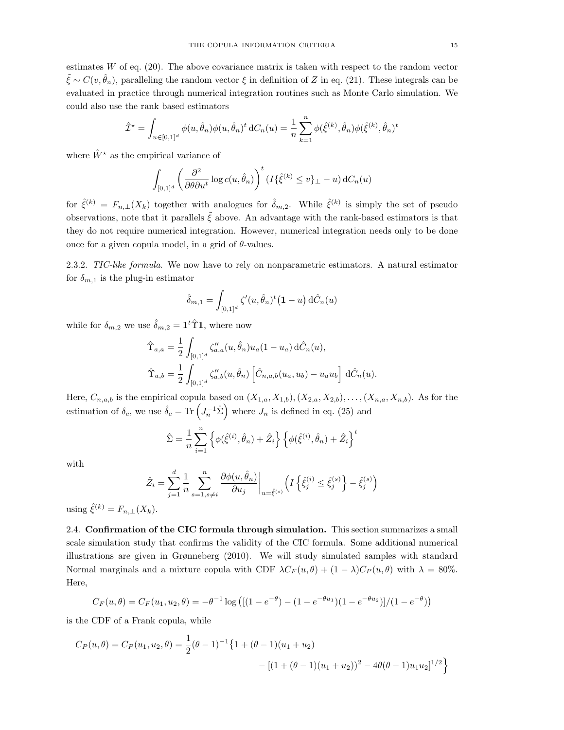estimates  $W$  of eq. (20). The above covariance matrix is taken with respect to the random vector  $\tilde{\xi} \sim C(v, \hat{\theta}_n)$ , paralleling the random vector  $\xi$  in definition of Z in eq. (21). These integrals can be evaluated in practice through numerical integration routines such as Monte Carlo simulation. We could also use the rank based estimators

$$
\hat{\mathcal{I}}^{\star} = \int_{u \in [0,1]^d} \phi(u, \hat{\theta}_n) \phi(u, \hat{\theta}_n)^t dC_n(u) = \frac{1}{n} \sum_{k=1}^n \phi(\hat{\xi}^{(k)}, \hat{\theta}_n) \phi(\hat{\xi}^{(k)}, \hat{\theta}_n)^t
$$

where  $\hat{W}^*$  as the empirical variance of

$$
\int_{[0,1]^d} \left( \frac{\partial^2}{\partial \theta \partial u^t} \log c(u, \hat{\theta}_n) \right)^t (I\{\hat{\xi}^{(k)} \le v\}_{\perp} - u) dC_n(u)
$$

for  $\hat{\zeta}^{(k)} = F_{n,\perp}(X_k)$  together with analogues for  $\hat{\delta}_{m,2}$ . While  $\hat{\zeta}^{(k)}$  is simply the set of pseudo observations, note that it parallels  $\tilde{\xi}$  above. An advantage with the rank-based estimators is that they do not require numerical integration. However, numerical integration needs only to be done once for a given copula model, in a grid of  $\theta$ -values.

2.3.2. TIC-like formula. We now have to rely on nonparametric estimators. A natural estimator for  $\delta_{m,1}$  is the plug-in estimator

$$
\hat{\delta}_{m,1} = \int_{[0,1]^d} \zeta'(u, \hat{\theta}_n)^t (1-u) d\hat{C}_n(u)
$$

while for  $\delta_{m,2}$  we use  $\hat{\delta}_{m,2} = \mathbf{1}^t \hat{\Upsilon} \mathbf{1}$ , where now

$$
\hat{\Upsilon}_{a,a} = \frac{1}{2} \int_{[0,1]^d} \zeta''_{a,a}(u, \hat{\theta}_n) u_a (1 - u_a) \, d\hat{C}_n(u),
$$
  

$$
\hat{\Upsilon}_{a,b} = \frac{1}{2} \int_{[0,1]^d} \zeta''_{a,b}(u, \hat{\theta}_n) \left[ \hat{C}_{n,a,b}(u_a, u_b) - u_a u_b \right] \, d\hat{C}_n(u).
$$

Here,  $C_{n,a,b}$  is the empirical copula based on  $(X_{1,a}, X_{1,b}), (X_{2,a}, X_{2,b}), \ldots, (X_{n,a}, X_{n,b})$ . As for the estimation of  $\delta_c$ , we use  $\hat{\delta}_c = \text{Tr} \left( J_n^{-1} \hat{\Sigma} \right)$  where  $J_n$  is defined in eq. (25) and

$$
\hat{\Sigma} = \frac{1}{n} \sum_{i=1}^{n} \left\{ \phi(\hat{\xi}^{(i)}, \hat{\theta}_n) + \hat{Z}_i \right\} \left\{ \phi(\hat{\xi}^{(i)}, \hat{\theta}_n) + \hat{Z}_i \right\}^t
$$

with

$$
\hat{Z}_i = \sum_{j=1}^d \frac{1}{n} \sum_{s=1, s \neq i}^n \frac{\partial \phi(u, \hat{\theta}_n)}{\partial u_j} \bigg|_{u = \hat{\xi}^{(s)}} \left( I \left\{ \hat{\xi}_j^{(i)} \le \hat{\xi}_j^{(s)} \right\} - \hat{\xi}_j^{(s)} \right)
$$

using  $\hat{\xi}^{(k)} = F_{n,\perp}(X_k)$ .

2.4. Confirmation of the CIC formula through simulation. This section summarizes a small scale simulation study that confirms the validity of the CIC formula. Some additional numerical illustrations are given in Grønneberg (2010). We will study simulated samples with standard Normal marginals and a mixture copula with CDF  $\lambda C_F(u, \theta) + (1 - \lambda)C_P(u, \theta)$  with  $\lambda = 80\%$ . Here,

$$
C_F(u,\theta) = C_F(u_1, u_2, \theta) = -\theta^{-1} \log \left( \left[ (1 - e^{-\theta}) - (1 - e^{-\theta u_1})(1 - e^{-\theta u_2}) \right] / (1 - e^{-\theta}) \right)
$$

is the CDF of a Frank copula, while

$$
C_P(u,\theta) = C_P(u_1, u_2, \theta) = \frac{1}{2}(\theta - 1)^{-1} \{ 1 + (\theta - 1)(u_1 + u_2) - [(1 + (\theta - 1)(u_1 + u_2))^2 - 4\theta(\theta - 1)u_1u_2]^{1/2} \}
$$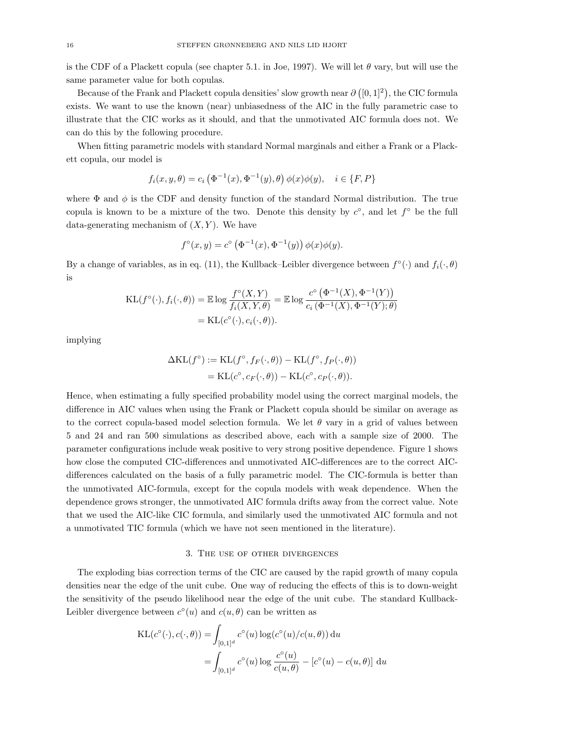is the CDF of a Plackett copula (see chapter 5.1. in Joe, 1997). We will let  $\theta$  vary, but will use the same parameter value for both copulas.

Because of the Frank and Plackett copula densities' slow growth near  $\partial ([0,1]^2)$ , the CIC formula exists. We want to use the known (near) unbiasedness of the AIC in the fully parametric case to illustrate that the CIC works as it should, and that the unmotivated AIC formula does not. We can do this by the following procedure.

When fitting parametric models with standard Normal marginals and either a Frank or a Plackett copula, our model is

$$
f_i(x, y, \theta) = c_i \left( \Phi^{-1}(x), \Phi^{-1}(y), \theta \right) \phi(x)\phi(y), \quad i \in \{F, P\}
$$

where  $\Phi$  and  $\phi$  is the CDF and density function of the standard Normal distribution. The true copula is known to be a mixture of the two. Denote this density by  $c^{\circ}$ , and let  $f^{\circ}$  be the full data-generating mechanism of  $(X, Y)$ . We have

$$
f^{\circ}(x, y) = c^{\circ} (\Phi^{-1}(x), \Phi^{-1}(y)) \phi(x) \phi(y).
$$

By a change of variables, as in eq. (11), the Kullback–Leibler divergence between  $f^{\circ}(\cdot)$  and  $f_i(\cdot,\theta)$ is

$$
\begin{aligned} \mathrm{KL}(f^{\circ}(\cdot), f_i(\cdot, \theta)) &= \mathbb{E} \log \frac{f^{\circ}(X, Y)}{f_i(X, Y, \theta)} = \mathbb{E} \log \frac{c^{\circ} \left(\Phi^{-1}(X), \Phi^{-1}(Y)\right)}{c_i \left(\Phi^{-1}(X), \Phi^{-1}(Y); \theta\right)} \\ &= \mathrm{KL}(c^{\circ}(\cdot), c_i(\cdot, \theta)). \end{aligned}
$$

implying

$$
\Delta \mathrm{KL}(f^{\circ}) := \mathrm{KL}(f^{\circ}, f_F(\cdot, \theta)) - \mathrm{KL}(f^{\circ}, f_P(\cdot, \theta))
$$
  
= 
$$
\mathrm{KL}(c^{\circ}, c_F(\cdot, \theta)) - \mathrm{KL}(c^{\circ}, c_P(\cdot, \theta)).
$$

Hence, when estimating a fully specified probability model using the correct marginal models, the difference in AIC values when using the Frank or Plackett copula should be similar on average as to the correct copula-based model selection formula. We let  $\theta$  vary in a grid of values between 5 and 24 and ran 500 simulations as described above, each with a sample size of 2000. The parameter configurations include weak positive to very strong positive dependence. Figure 1 shows how close the computed CIC-differences and unmotivated AIC-differences are to the correct AICdifferences calculated on the basis of a fully parametric model. The CIC-formula is better than the unmotivated AIC-formula, except for the copula models with weak dependence. When the dependence grows stronger, the unmotivated AIC formula drifts away from the correct value. Note that we used the AIC-like CIC formula, and similarly used the unmotivated AIC formula and not a unmotivated TIC formula (which we have not seen mentioned in the literature).

#### 3. The use of other divergences

The exploding bias correction terms of the CIC are caused by the rapid growth of many copula densities near the edge of the unit cube. One way of reducing the effects of this is to down-weight the sensitivity of the pseudo likelihood near the edge of the unit cube. The standard Kullback-Leibler divergence between  $c^{\circ}(u)$  and  $c(u, \theta)$  can be written as

$$
KL(c^{\circ}(\cdot), c(\cdot, \theta)) = \int_{[0,1]^d} c^{\circ}(u) \log(c^{\circ}(u)/c(u, \theta)) du
$$
  
= 
$$
\int_{[0,1]^d} c^{\circ}(u) \log \frac{c^{\circ}(u)}{c(u, \theta)} - [c^{\circ}(u) - c(u, \theta)] du
$$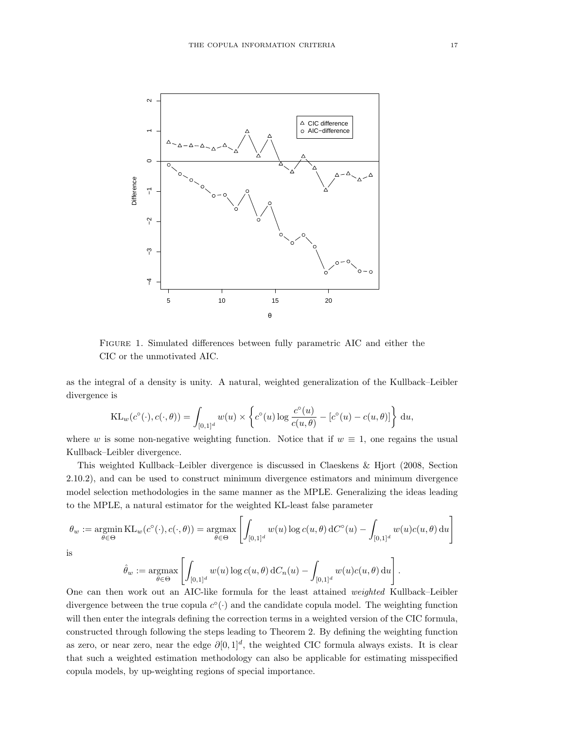

Figure 1. Simulated differences between fully parametric AIC and either the CIC or the unmotivated AIC.

as the integral of a density is unity. A natural, weighted generalization of the Kullback–Leibler divergence is

$$
KL_w(c^{\circ}(\cdot), c(\cdot, \theta)) = \int_{[0,1]^d} w(u) \times \left\{ c^{\circ}(u) \log \frac{c^{\circ}(u)}{c(u, \theta)} - [c^{\circ}(u) - c(u, \theta)] \right\} du,
$$

where w is some non-negative weighting function. Notice that if  $w \equiv 1$ , one regains the usual Kullback–Leibler divergence.

This weighted Kullback–Leibler divergence is discussed in Claeskens & Hjort (2008, Section 2.10.2), and can be used to construct minimum divergence estimators and minimum divergence model selection methodologies in the same manner as the MPLE. Generalizing the ideas leading to the MPLE, a natural estimator for the weighted KL-least false parameter

$$
\theta_w := \underset{\theta \in \Theta}{\operatorname{argmin}} \, \mathrm{KL}_w(c^{\circ}(\cdot), c(\cdot, \theta)) = \underset{\theta \in \Theta}{\operatorname{argmax}} \left[ \int_{[0,1]^d} w(u) \log c(u, \theta) \, dC^{\circ}(u) - \int_{[0,1]^d} w(u) c(u, \theta) \, du \right].
$$

is

$$
\hat{\theta}_w := \underset{\theta \in \Theta}{\operatorname{argmax}} \left[ \int_{[0,1]^d} w(u) \log c(u,\theta) dC_n(u) - \int_{[0,1]^d} w(u) c(u,\theta) du \right].
$$

One can then work out an AIC-like formula for the least attained weighted Kullback–Leibler divergence between the true copula  $c^{\circ}(\cdot)$  and the candidate copula model. The weighting function will then enter the integrals defining the correction terms in a weighted version of the CIC formula, constructed through following the steps leading to Theorem 2. By defining the weighting function as zero, or near zero, near the edge  $\partial [0,1]^d$ , the weighted CIC formula always exists. It is clear that such a weighted estimation methodology can also be applicable for estimating misspecified copula models, by up-weighting regions of special importance.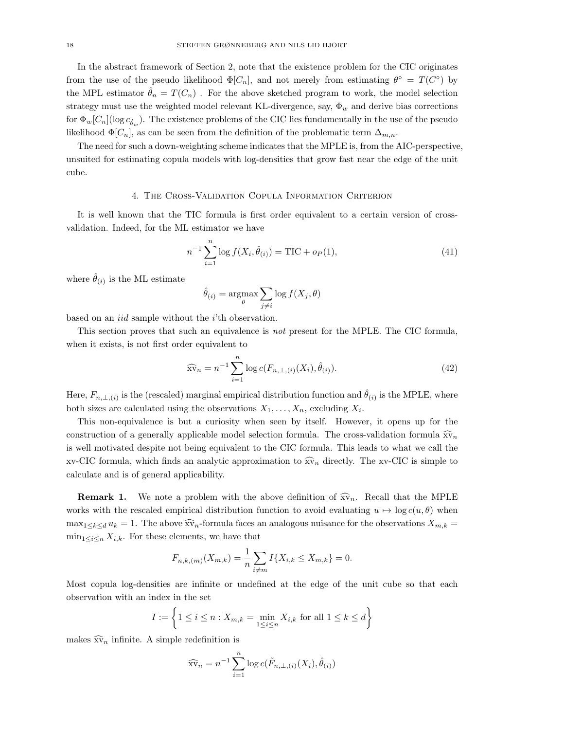In the abstract framework of Section 2, note that the existence problem for the CIC originates from the use of the pseudo likelihood  $\Phi[C_n]$ , and not merely from estimating  $\theta^{\circ} = T(C^{\circ})$  by the MPL estimator  $\hat{\theta}_n = T(C_n)$ . For the above sketched program to work, the model selection strategy must use the weighted model relevant KL-divergence, say,  $\Phi_w$  and derive bias corrections for  $\Phi_w[C_n](\log c_{\hat{\theta}_w})$ . The existence problems of the CIC lies fundamentally in the use of the pseudo likelihood  $\Phi[C_n]$ , as can be seen from the definition of the problematic term  $\Delta_{m,n}$ .

The need for such a down-weighting scheme indicates that the MPLE is, from the AIC-perspective, unsuited for estimating copula models with log-densities that grow fast near the edge of the unit cube.

## 4. The Cross-Validation Copula Information Criterion

It is well known that the TIC formula is first order equivalent to a certain version of crossvalidation. Indeed, for the ML estimator we have

$$
n^{-1} \sum_{i=1}^{n} \log f(X_i, \hat{\theta}_{(i)}) = \text{TIC} + o_P(1), \tag{41}
$$

where  $\hat{\theta}_{(i)}$  is the ML estimate

$$
\hat{\theta}_{(i)} = \operatorname*{argmax}_{\theta} \sum_{j \neq i} \log f(X_j, \theta)
$$

based on an iid sample without the i'th observation.

This section proves that such an equivalence is not present for the MPLE. The CIC formula, when it exists, is not first order equivalent to

$$
\widehat{\text{sv}}_n = n^{-1} \sum_{i=1}^n \log c(F_{n,\perp,(i)}(X_i), \widehat{\theta}_{(i)}).
$$
\n(42)

Here,  $F_{n,\perp,(i)}$  is the (rescaled) marginal empirical distribution function and  $\hat{\theta}_{(i)}$  is the MPLE, where both sizes are calculated using the observations  $X_1, \ldots, X_n$ , excluding  $X_i$ .

This non-equivalence is but a curiosity when seen by itself. However, it opens up for the construction of a generally applicable model selection formula. The cross-validation formula  $\widehat{\mathbf{x}}_n$ is well motivated despite not being equivalent to the CIC formula. This leads to what we call the xv-CIC formula, which finds an analytic approximation to  $\widehat{\mathbf{x}}_n$  directly. The xv-CIC is simple to calculate and is of general applicability.

**Remark 1.** We note a problem with the above definition of  $\widehat{\mathbf{x}}_n$ . Recall that the MPLE works with the rescaled empirical distribution function to avoid evaluating  $u \mapsto \log c(u, \theta)$  when  $\max_{1 \le k \le d} u_k = 1$ . The above  $\widehat{\mathbf{x}}_n$ -formula faces an analogous nuisance for the observations  $X_{m,k}$  =  $\min_{1 \leq i \leq n} X_{i,k}$ . For these elements, we have that

$$
F_{n,k,(m)}(X_{m,k}) = \frac{1}{n} \sum_{i \neq m} I\{X_{i,k} \le X_{m,k}\} = 0.
$$

Most copula log-densities are infinite or undefined at the edge of the unit cube so that each observation with an index in the set

$$
I := \left\{ 1 \le i \le n : X_{m,k} = \min_{1 \le i \le n} X_{i,k} \text{ for all } 1 \le k \le d \right\}
$$

makes  $\widehat{\mathbf{x}}\widehat{\mathbf{v}}_n$  infinite. A simple redefinition is

$$
\widehat{\text{sv}}_n = n^{-1} \sum_{i=1}^n \log c(\tilde{F}_{n,\perp,(i)}(X_i), \hat{\theta}_{(i)})
$$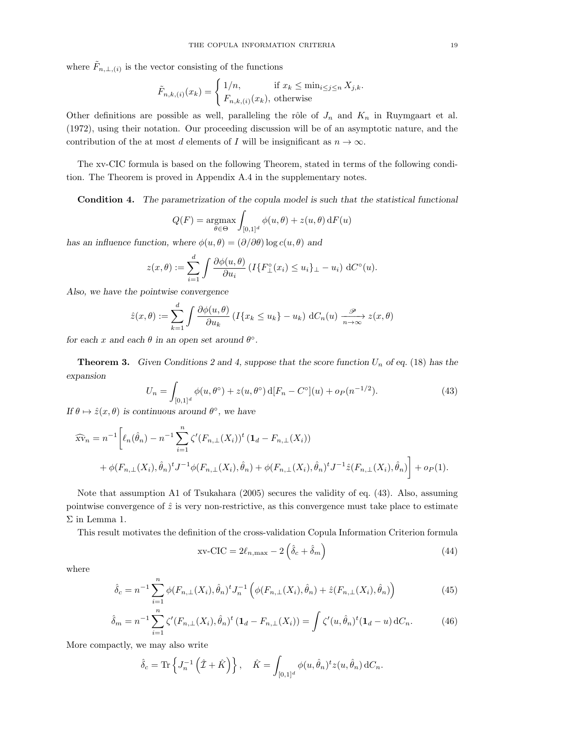where  $\tilde{F}_{n,\perp,(i)}$  is the vector consisting of the functions

$$
\tilde{F}_{n,k,(i)}(x_k) = \begin{cases} 1/n, & \text{if } x_k \le \min_{i \le j \le n} X_{j,k}. \\ F_{n,k,(i)}(x_k), & \text{otherwise} \end{cases}
$$

Other definitions are possible as well, paralleling the rôle of  $J_n$  and  $K_n$  in Ruymgaart et al. (1972), using their notation. Our proceeding discussion will be of an asymptotic nature, and the contribution of the at most d elements of I will be insignificant as  $n \to \infty$ .

The xv-CIC formula is based on the following Theorem, stated in terms of the following condition. The Theorem is proved in Appendix A.4 in the supplementary notes.

Condition 4. The parametrization of the copula model is such that the statistical functional

$$
Q(F) = \underset{\theta \in \Theta}{\operatorname{argmax}} \int_{[0,1]^d} \phi(u,\theta) + z(u,\theta) \, dF(u)
$$

has an influence function, where  $\phi(u, \theta) = (\partial/\partial \theta) \log c(u, \theta)$  and

$$
z(x,\theta) := \sum_{i=1}^d \int \frac{\partial \phi(u,\theta)}{\partial u_i} \left( I\{ F_{\perp}^{\circ}(x_i) \le u_i \}_{\perp} - u_i \right) dC^{\circ}(u).
$$

Also, we have the pointwise convergence

$$
\hat{z}(x,\theta) := \sum_{k=1}^d \int \frac{\partial \phi(u,\theta)}{\partial u_k} \left( I\{x_k \le u_k\} - u_k \right) dC_n(u) \xrightarrow[n \to \infty]{} z(x,\theta)
$$

for each x and each  $\theta$  in an open set around  $\theta$ °.

**Theorem 3.** Given Conditions 2 and 4, suppose that the score function  $U_n$  of eq. (18) has the expansion

$$
U_n = \int_{[0,1]^d} \phi(u,\theta^\circ) + z(u,\theta^\circ) \, d[F_n - C^\circ](u) + o_P(n^{-1/2}).\tag{43}
$$

If  $\theta \mapsto \hat{z}(x, \theta)$  is continuous around  $\theta^{\circ}$ , we have

$$
\widehat{xv}_n = n^{-1} \bigg[ \ell_n(\hat{\theta}_n) - n^{-1} \sum_{i=1}^n \zeta'(F_{n,\perp}(X_i))^t (1_d - F_{n,\perp}(X_i)) + \phi(F_{n,\perp}(X_i), \hat{\theta}_n)^t J^{-1} \phi(F_{n,\perp}(X_i), \hat{\theta}_n) + \phi(F_{n,\perp}(X_i), \hat{\theta}_n)^t J^{-1} \hat{z}(F_{n,\perp}(X_i), \hat{\theta}_n) \bigg] + o_P(1).
$$

Note that assumption A1 of Tsukahara (2005) secures the validity of eq. (43). Also, assuming pointwise convergence of  $\hat{z}$  is very non-restrictive, as this convergence must take place to estimate Σ in Lemma 1.

This result motivates the definition of the cross-validation Copula Information Criterion formula

$$
xv-CIC = 2\ell_{n,\max} - 2\left(\hat{\delta}_c + \hat{\delta}_m\right)
$$
 (44)

where

$$
\hat{\delta}_c = n^{-1} \sum_{i=1}^n \phi(F_{n,\perp}(X_i), \hat{\theta}_n)^t J_n^{-1} \left( \phi(F_{n,\perp}(X_i), \hat{\theta}_n) + \hat{z}(F_{n,\perp}(X_i), \hat{\theta}_n) \right)
$$
(45)

$$
\hat{\delta}_m = n^{-1} \sum_{i=1}^n \zeta'(F_{n,\perp}(X_i), \hat{\theta}_n)^t (\mathbf{1}_d - F_{n,\perp}(X_i)) = \int \zeta'(u, \hat{\theta}_n)^t (\mathbf{1}_d - u) dC_n.
$$
 (46)

More compactly, we may also write

$$
\hat{\delta}_c = \text{Tr}\left\{J_n^{-1}\left(\hat{\mathcal{I}} + \hat{K}\right)\right\}, \quad \hat{K} = \int_{[0,1]^d} \phi(u, \hat{\theta}_n)^t z(u, \hat{\theta}_n) dC_n.
$$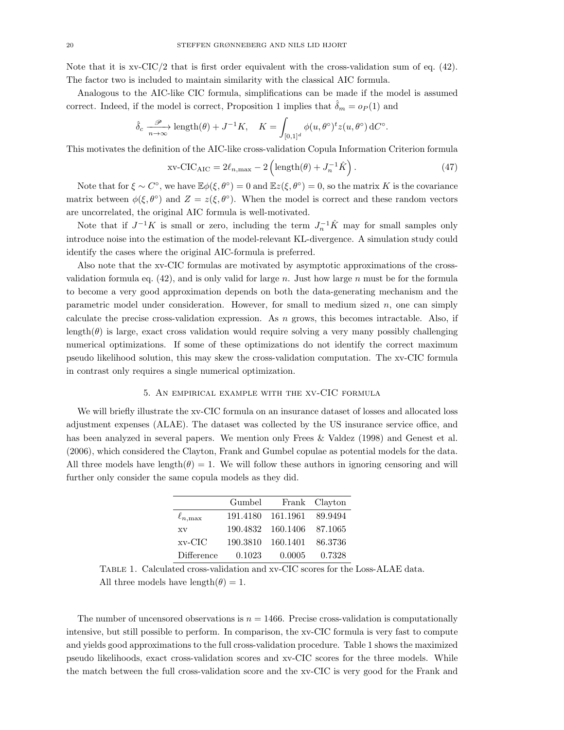Note that it is xv-CIC/2 that is first order equivalent with the cross-validation sum of eq.  $(42)$ . The factor two is included to maintain similarity with the classical AIC formula.

Analogous to the AIC-like CIC formula, simplifications can be made if the model is assumed correct. Indeed, if the model is correct, Proposition 1 implies that  $\hat{\delta}_m = o_P(1)$  and

$$
\hat{\delta}_c \xrightarrow[n \to \infty]{\mathcal{P}} \text{length}(\theta) + J^{-1}K, \quad K = \int_{[0,1]^d} \phi(u, \theta^{\circ})^t z(u, \theta^{\circ}) dC^{\circ}.
$$

This motivates the definition of the AIC-like cross-validation Copula Information Criterion formula

$$
xv-CIC_{AIC} = 2\ell_{n,\max} - 2\left(\text{length}(\theta) + J_n^{-1}\hat{K}\right). \tag{47}
$$

Note that for  $\xi \sim C^{\circ}$ , we have  $\mathbb{E}\phi(\xi, \theta^{\circ}) = 0$  and  $\mathbb{E}z(\xi, \theta^{\circ}) = 0$ , so the matrix K is the covariance matrix between  $\phi(\xi, \theta^{\circ})$  and  $Z = z(\xi, \theta^{\circ})$ . When the model is correct and these random vectors are uncorrelated, the original AIC formula is well-motivated.

Note that if  $J^{-1}K$  is small or zero, including the term  $J_n^{-1}\hat{K}$  may for small samples only introduce noise into the estimation of the model-relevant KL-divergence. A simulation study could identify the cases where the original AIC-formula is preferred.

Also note that the xv-CIC formulas are motivated by asymptotic approximations of the crossvalidation formula eq.  $(42)$ , and is only valid for large n. Just how large n must be for the formula to become a very good approximation depends on both the data-generating mechanism and the parametric model under consideration. However, for small to medium sized  $n$ , one can simply calculate the precise cross-validation expression. As  $n$  grows, this becomes intractable. Also, if length( $\theta$ ) is large, exact cross validation would require solving a very many possibly challenging numerical optimizations. If some of these optimizations do not identify the correct maximum pseudo likelihood solution, this may skew the cross-validation computation. The xv-CIC formula in contrast only requires a single numerical optimization.

#### 5. An empirical example with the xv-CIC formula

We will briefly illustrate the xv-CIC formula on an insurance dataset of losses and allocated loss adjustment expenses (ALAE). The dataset was collected by the US insurance service office, and has been analyzed in several papers. We mention only Frees & Valdez (1998) and Genest et al. (2006), which considered the Clayton, Frank and Gumbel copulae as potential models for the data. All three models have length( $\theta$ ) = 1. We will follow these authors in ignoring censoring and will further only consider the same copula models as they did.

|                       | Gumbel   |                   | Frank Clayton |
|-----------------------|----------|-------------------|---------------|
| $\ell_{n,\text{max}}$ |          | 191.4180 161.1961 | 89.9494       |
| <b>XV</b>             |          | 190.4832 160.1406 | - 87.1065     |
| $xv$ -CIC             | 190.3810 | 160.1401          | 86.3736       |
| Difference            | 0.1023   | 0.0005            | 0.7328        |

Table 1. Calculated cross-validation and xv-CIC scores for the Loss-ALAE data. All three models have length $(\theta) = 1$ .

The number of uncensored observations is  $n = 1466$ . Precise cross-validation is computationally intensive, but still possible to perform. In comparison, the xv-CIC formula is very fast to compute and yields good approximations to the full cross-validation procedure. Table 1 shows the maximized pseudo likelihoods, exact cross-validation scores and xv-CIC scores for the three models. While the match between the full cross-validation score and the xv-CIC is very good for the Frank and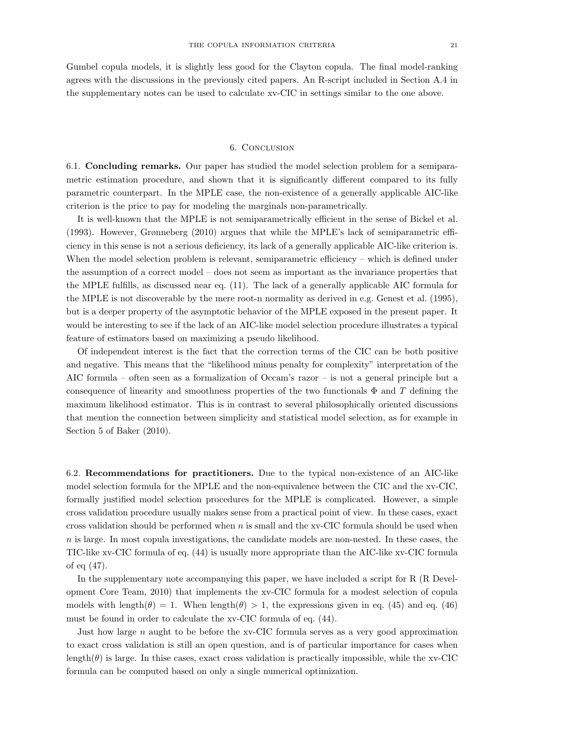Gumbel copula models, it is slightly less good for the Clayton copula. The final model-ranking agrees with the discussions in the previously cited papers. An R-script included in Section A.4 in the supplementary notes can be used to calculate xv-CIC in settings similar to the one above.

#### 6. Conclusion

6.1. Concluding remarks. Our paper has studied the model selection problem for a semiparametric estimation procedure, and shown that it is significantly different compared to its fully parametric counterpart. In the MPLE case, the non-existence of a generally applicable AIC-like criterion is the price to pay for modeling the marginals non-parametrically.

It is well-known that the MPLE is not semiparametrically efficient in the sense of Bickel et al. (1993). However, Grønneberg (2010) argues that while the MPLE's lack of semiparametric efficiency in this sense is not a serious deficiency, its lack of a generally applicable AIC-like criterion is. When the model selection problem is relevant, semiparametric efficiency – which is defined under the assumption of a correct model – does not seem as important as the invariance properties that the MPLE fulfills, as discussed near eq. (11). The lack of a generally applicable AIC formula for the MPLE is not discoverable by the mere root-n normality as derived in e.g. Genest et al. (1995), but is a deeper property of the asymptotic behavior of the MPLE exposed in the present paper. It would be interesting to see if the lack of an AIC-like model selection procedure illustrates a typical feature of estimators based on maximizing a pseudo likelihood.

Of independent interest is the fact that the correction terms of the CIC can be both positive and negative. This means that the "likelihood minus penalty for complexity" interpretation of the AIC formula – often seen as a formalization of Occam's razor – is not a general principle but a consequence of linearity and smoothness properties of the two functionals  $\Phi$  and T defining the maximum likelihood estimator. This is in contrast to several philosophically oriented discussions that mention the connection between simplicity and statistical model selection, as for example in Section 5 of Baker (2010).

6.2. Recommendations for practitioners. Due to the typical non-existence of an AIC-like model selection formula for the MPLE and the non-equivalence between the CIC and the xv-CIC, formally justified model selection procedures for the MPLE is complicated. However, a simple cross validation procedure usually makes sense from a practical point of view. In these cases, exact cross validation should be performed when  $n$  is small and the xv-CIC formula should be used when n is large. In most copula investigations, the candidate models are non-nested. In these cases, the TIC-like xv-CIC formula of eq. (44) is usually more appropriate than the AIC-like xv-CIC formula of eq (47).

In the supplementary note accompanying this paper, we have included a script for R (R Development Core Team, 2010) that implements the xv-CIC formula for a modest selection of copula models with length( $\theta$ ) = 1. When length( $\theta$ ) > 1, the expressions given in eq. (45) and eq. (46) must be found in order to calculate the xv-CIC formula of eq. (44).

Just how large n aught to be before the xv-CIC formula serves as a very good approximation to exact cross validation is still an open question, and is of particular importance for cases when length( $\theta$ ) is large. In thise cases, exact cross validation is practically impossible, while the xv-CIC formula can be computed based on only a single numerical optimization.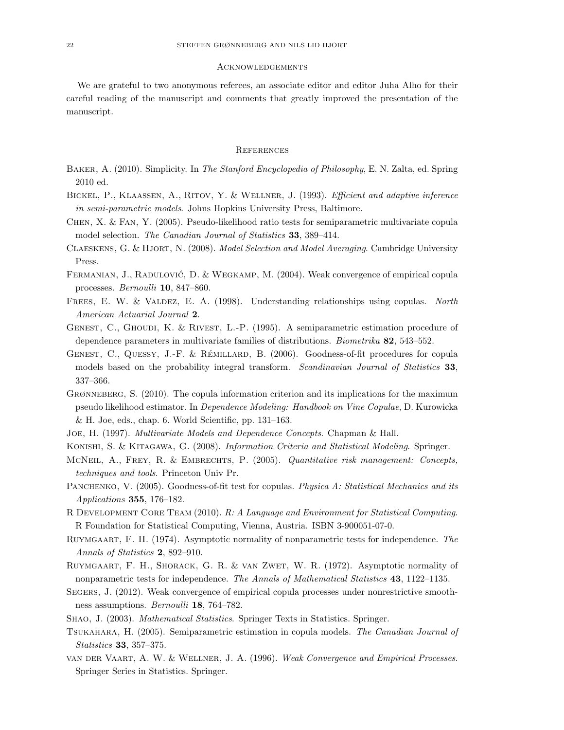#### **ACKNOWLEDGEMENTS**

We are grateful to two anonymous referees, an associate editor and editor Juha Alho for their careful reading of the manuscript and comments that greatly improved the presentation of the manuscript.

## **REFERENCES**

- BAKER, A. (2010). Simplicity. In The Stanford Encyclopedia of Philosophy, E. N. Zalta, ed. Spring 2010 ed.
- BICKEL, P., KLAASSEN, A., RITOV, Y. & WELLNER, J. (1993). Efficient and adaptive inference in semi-parametric models. Johns Hopkins University Press, Baltimore.
- Chen, X. & Fan, Y. (2005). Pseudo-likelihood ratio tests for semiparametric multivariate copula model selection. The Canadian Journal of Statistics 33, 389–414.
- CLAESKENS, G. & HJORT, N. (2008). Model Selection and Model Averaging. Cambridge University Press.
- FERMANIAN, J., RADULOVIĆ, D. & WEGKAMP, M. (2004). Weak convergence of empirical copula processes. Bernoulli 10, 847–860.
- FREES, E. W. & VALDEZ, E. A. (1998). Understanding relationships using copulas. North American Actuarial Journal 2.
- Genest, C., Ghoudi, K. & Rivest, L.-P. (1995). A semiparametric estimation procedure of dependence parameters in multivariate families of distributions. *Biometrika* 82, 543–552.
- GENEST, C., QUESSY, J.-F. & RÉMILLARD, B. (2006). Goodness-of-fit procedures for copula models based on the probability integral transform. Scandinavian Journal of Statistics 33, 337–366.
- GRØNNEBERG, S. (2010). The copula information criterion and its implications for the maximum pseudo likelihood estimator. In Dependence Modeling: Handbook on Vine Copulae, D. Kurowicka & H. Joe, eds., chap. 6. World Scientific, pp. 131–163.
- Joe, H. (1997). Multivariate Models and Dependence Concepts. Chapman & Hall.
- Konishi, S. & Kitagawa, G. (2008). Information Criteria and Statistical Modeling. Springer.
- MCNEIL, A., FREY, R. & EMBRECHTS, P. (2005). Quantitative risk management: Concepts, techniques and tools. Princeton Univ Pr.
- PANCHENKO, V. (2005). Goodness-of-fit test for copulas. Physica A: Statistical Mechanics and its Applications 355, 176–182.
- R DEVELOPMENT CORE TEAM (2010). R: A Language and Environment for Statistical Computing. R Foundation for Statistical Computing, Vienna, Austria. ISBN 3-900051-07-0.
- RUYMGAART, F. H. (1974). Asymptotic normality of nonparametric tests for independence. The Annals of Statistics 2, 892–910.
- Ruymgaart, F. H., Shorack, G. R. & van Zwet, W. R. (1972). Asymptotic normality of nonparametric tests for independence. The Annals of Mathematical Statistics 43, 1122–1135.
- Segers, J. (2012). Weak convergence of empirical copula processes under nonrestrictive smoothness assumptions. Bernoulli 18, 764–782.
- Shao, J. (2003). Mathematical Statistics. Springer Texts in Statistics. Springer.
- Tsukahara, H. (2005). Semiparametric estimation in copula models. The Canadian Journal of Statistics 33, 357–375.
- van der Vaart, A. W. & Wellner, J. A. (1996). Weak Convergence and Empirical Processes. Springer Series in Statistics. Springer.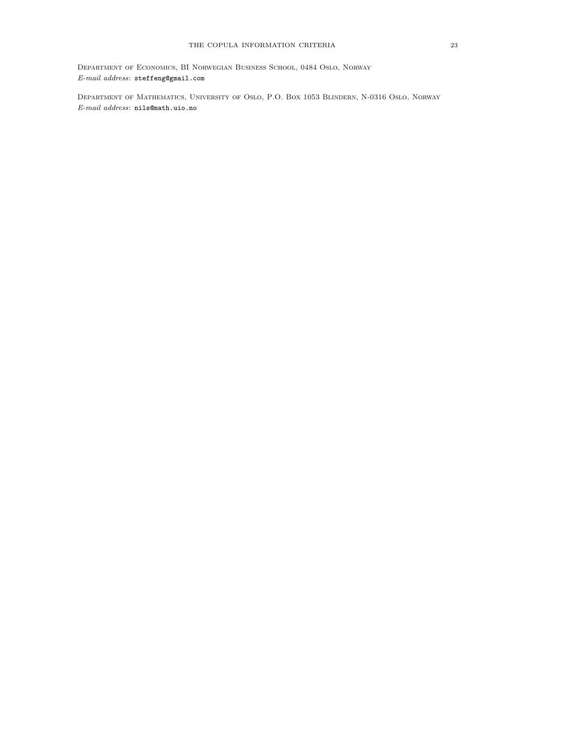Department of Economics, BI Norwegian Business School, 0484 Oslo, Norway  $\it E\mbox{-}mail\,\,address\mbox{:}$ <br> $\mbox{{\tt steffengQgnail.com}}$ 

Department of Mathematics, University of Oslo, P.O. Box 1053 Blindern, N-0316 Oslo, Norway E-mail address: nils@math.uio.no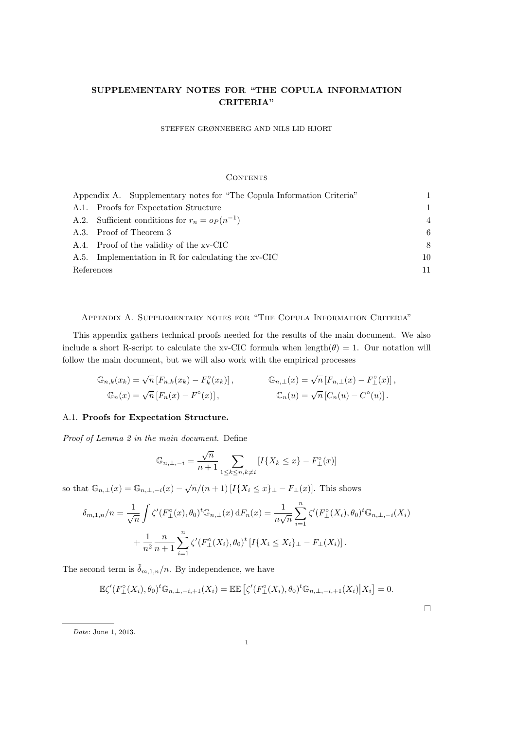## SUPPLEMENTARY NOTES FOR "THE COPULA INFORMATION CRITERIA"

STEFFEN GRØNNEBERG AND NILS LID HJORT

## **CONTENTS**

|            | Appendix A. Supplementary notes for "The Copula Information Criteria" |                |
|------------|-----------------------------------------------------------------------|----------------|
|            | A.1. Proofs for Expectation Structure                                 | 1              |
|            | A.2. Sufficient conditions for $r_n = o_P(n^{-1})$                    | $\overline{4}$ |
|            | A.3. Proof of Theorem 3                                               | 6              |
|            | A.4. Proof of the validity of the xv-CIC                              | 8              |
|            | A.5. Implementation in R for calculating the xv-CIC                   | 10             |
| References |                                                                       | 11             |

Appendix A. Supplementary notes for "The Copula Information Criteria"

This appendix gathers technical proofs needed for the results of the main document. We also include a short R-script to calculate the xv-CIC formula when length( $\theta$ ) = 1. Our notation will follow the main document, but we will also work with the empirical processes

$$
\mathbb{G}_{n,k}(x_k) = \sqrt{n} \left[ F_{n,k}(x_k) - F_k^{\circ}(x_k) \right], \qquad \mathbb{G}_{n,\perp}(x) = \sqrt{n} \left[ F_{n,\perp}(x) - F_{\perp}^{\circ}(x) \right],
$$
  

$$
\mathbb{G}_n(x) = \sqrt{n} \left[ F_n(x) - F^{\circ}(x) \right], \qquad \mathbb{C}_n(u) = \sqrt{n} \left[ C_n(u) - C^{\circ}(u) \right].
$$

## A.1. Proofs for Expectation Structure.

Proof of Lemma 2 in the main document. Define

$$
\mathbb{G}_{n,\perp,-i} = \frac{\sqrt{n}}{n+1} \sum_{1 \le k \le n, k \ne i} [I\{X_k \le x\} - F_{\perp}^{\circ}(x)]
$$

so that  $\mathbb{G}_{n,\perp}(x) = \mathbb{G}_{n,\perp,-i}(x) - \sqrt{n}/(n+1) \left[I\{X_i \leq x\}_\perp - F_\perp(x)\right]$ . This shows

$$
\delta_{m,1,n}/n = \frac{1}{\sqrt{n}} \int \zeta'(F_{\perp}^{\circ}(x), \theta_0)^t \mathbb{G}_{n,\perp}(x) dF_n(x) = \frac{1}{n\sqrt{n}} \sum_{i=1}^n \zeta'(F_{\perp}^{\circ}(X_i), \theta_0)^t \mathbb{G}_{n,\perp,-i}(X_i)
$$

$$
+ \frac{1}{n^2} \frac{n}{n+1} \sum_{i=1}^n \zeta'(F_{\perp}^{\circ}(X_i), \theta_0)^t [I\{X_i \le X_i\}_{\perp} - F_{\perp}(X_i)].
$$

The second term is  $\tilde{\delta}_{m,1,n}/n$ . By independence, we have

$$
\mathbb{E}\zeta'(F_{\perp}^{\circ}(X_i),\theta_0)^t\mathbb{G}_{n,\perp,-i,+1}(X_i)=\mathbb{E}\mathbb{E}\left[\zeta'(F_{\perp}^{\circ}(X_i),\theta_0)^t\mathbb{G}_{n,\perp,-i,+1}(X_i)\big|X_i\right]=0.
$$

 $\Box$ 

Date: June 1, 2013.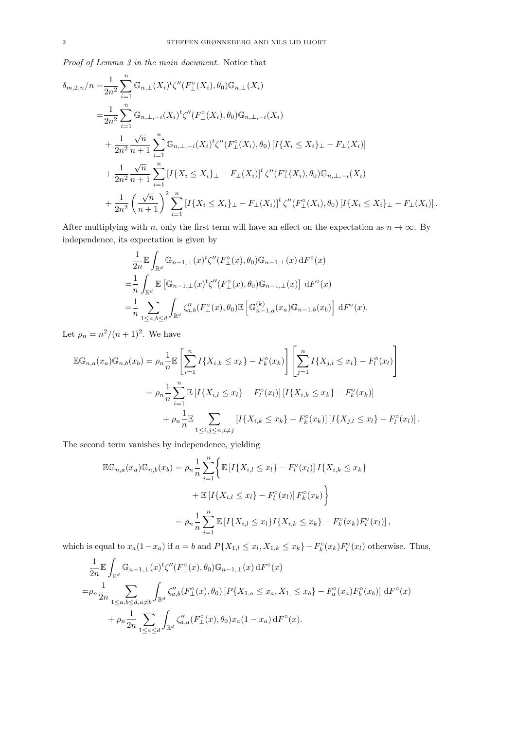Proof of Lemma 3 in the main document. Notice that

$$
\delta_{m,2,n}/n = \frac{1}{2n^2} \sum_{i=1}^n \mathbb{G}_{n,\perp}(X_i)^t \zeta''(F_{\perp}^{\circ}(X_i), \theta_0) \mathbb{G}_{n,\perp}(X_i)
$$
\n
$$
= \frac{1}{2n^2} \sum_{i=1}^n \mathbb{G}_{n,\perp,-i}(X_i)^t \zeta''(F_{\perp}^{\circ}(X_i), \theta_0) \mathbb{G}_{n,\perp,-i}(X_i)
$$
\n
$$
+ \frac{1}{2n^2} \frac{\sqrt{n}}{n+1} \sum_{i=1}^n \mathbb{G}_{n,\perp,-i}(X_i)^t \zeta''(F_{\perp}^{\circ}(X_i), \theta_0) [I\{X_i \le X_i\}_{\perp} - F_{\perp}(X_i)]
$$
\n
$$
+ \frac{1}{2n^2} \frac{\sqrt{n}}{n+1} \sum_{i=1}^n [I\{X_i \le X_i\}_{\perp} - F_{\perp}(X_i)]^t \zeta''(F_{\perp}^{\circ}(X_i), \theta_0) \mathbb{G}_{n,\perp,-i}(X_i)
$$
\n
$$
+ \frac{1}{2n^2} \left(\frac{\sqrt{n}}{n+1}\right)^2 \sum_{i=1}^n [I\{X_i \le X_i\}_{\perp} - F_{\perp}(X_i)]^t \zeta''(F_{\perp}^{\circ}(X_i), \theta_0) [I\{X_i \le X_i\}_{\perp} - F_{\perp}(X_i)].
$$

After multiplying with n, only the first term will have an effect on the expectation as  $n \to \infty$ . By independence, its expectation is given by

$$
\frac{1}{2n} \mathbb{E} \int_{\mathbb{R}^d} \mathbb{G}_{n-1,\perp}(x) \zeta''(F_{\perp}^{\circ}(x), \theta_0) \mathbb{G}_{n-1,\perp}(x) dF^{\circ}(x)
$$
\n
$$
= \frac{1}{n} \int_{\mathbb{R}^d} \mathbb{E} \left[ \mathbb{G}_{n-1,\perp}(x) \zeta''(F_{\perp}^{\circ}(x), \theta_0) \mathbb{G}_{n-1,\perp}(x) \right] dF^{\circ}(x)
$$
\n
$$
= \frac{1}{n} \sum_{1 \le a,b \le d} \int_{\mathbb{R}^d} \zeta''_{a,b}(F_{\perp}^{\circ}(x), \theta_0) \mathbb{E} \left[ \mathbb{G}_{n-1,a}^{(k)}(x_a) \mathbb{G}_{n-1,b}(x_b) \right] dF^{\circ}(x).
$$

Let  $\rho_n = n^2/(n+1)^2$ . We have

$$
\mathbb{EG}_{n,a}(x_a)\mathbb{G}_{n,b}(x_b) = \rho_n \frac{1}{n} \mathbb{E} \left[ \sum_{i=1}^n I\{X_{i,k} \le x_k\} - F_k^{\circ}(x_k) \right] \left[ \sum_{j=1}^n I\{X_{j,l} \le x_l\} - F_l^{\circ}(x_l) \right]
$$
  

$$
= \rho_n \frac{1}{n} \sum_{i=1}^n \mathbb{E} \left[ I\{X_{i,l} \le x_l\} - F_l^{\circ}(x_l) \right] \left[ I\{X_{i,k} \le x_k\} - F_k^{\circ}(x_k) \right]
$$
  

$$
+ \rho_n \frac{1}{n} \mathbb{E} \sum_{1 \le i,j \le n, i \ne j} \left[ I\{X_{i,k} \le x_k\} - F_k^{\circ}(x_k) \right] \left[ I\{X_{j,l} \le x_l\} - F_l^{\circ}(x_l) \right]
$$

 $\cdot$ 

The second term vanishes by independence, yielding

$$
\mathbb{EG}_{n,a}(x_a)\mathbb{G}_{n,b}(x_b) = \rho_n \frac{1}{n} \sum_{i=1}^n \Biggl\{ \mathbb{E} \left[ I\{X_{i,l} \leq x_l\} - F_l^{\circ}(x_l) \right] I\{X_{i,k} \leq x_k\} + \mathbb{E} \left[ I\{X_{i,l} \leq x_l\} - F_l^{\circ}(x_l) \right] F_k^{\circ}(x_k) \Biggr\}
$$
  

$$
= \rho_n \frac{1}{n} \sum_{i=1}^n \mathbb{E} \left[ I\{X_{i,l} \leq x_l\} I\{X_{i,k} \leq x_k\} - F_k^{\circ}(x_k) F_l^{\circ}(x_l) \right],
$$

which is equal to  $x_a(1-x_a)$  if  $a=b$  and  $P\{X_{1,l} \leq x_l, X_{1,k} \leq x_k\} - F_k^{\circ}(x_k)F_l^{\circ}(x_l)$  otherwise. Thus,

$$
\frac{1}{2n} \mathbb{E} \int_{\mathbb{R}^d} \mathbb{G}_{n-1,\perp}(x)^t \zeta''(F_{\perp}^{\circ}(x), \theta_0) \mathbb{G}_{n-1,\perp}(x) dF^{\circ}(x)
$$
\n
$$
= \rho_n \frac{1}{2n} \sum_{1 \le a,b \le d, a \ne b} \int_{\mathbb{R}^d} \zeta''_{a,b}(F_{\perp}^{\circ}(x), \theta_0) [P\{X_{1,a} \le x_a, X_{1,a} \le x_b\} - F_a^{\circ}(x_a) F_b^{\circ}(x_b)] dF^{\circ}(x)
$$
\n
$$
+ \rho_n \frac{1}{2n} \sum_{1 \le a \le d} \int_{\mathbb{R}^d} \zeta''_{a,a}(F_{\perp}^{\circ}(x), \theta_0) x_a (1 - x_a) dF^{\circ}(x).
$$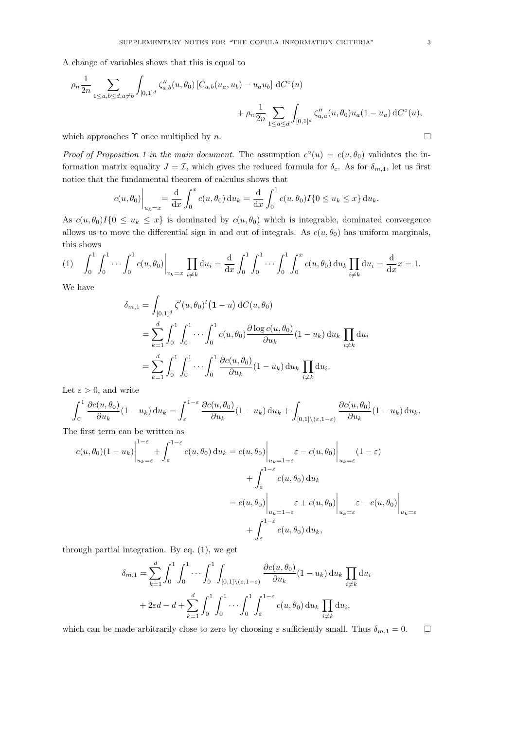A change of variables shows that this is equal to

$$
\rho_n \frac{1}{2n} \sum_{1 \le a,b \le d, a \ne b} \int_{[0,1]^d} \zeta_{a,b}''(u, \theta_0) \left[ C_{a,b}(u_a, u_b) - u_a u_b \right] dC^{\circ}(u) + \rho_n \frac{1}{2n} \sum_{1 \le a \le d} \int_{[0,1]^d} \zeta_{a,a}''(u, \theta_0) u_a (1 - u_a) dC^{\circ}(u),
$$

which approaches  $\Upsilon$  once multiplied by n.

Proof of Proposition 1 in the main document. The assumption  $c^{\circ}(u) = c(u, \theta_0)$  validates the information matrix equality  $J = \mathcal{I}$ , which gives the reduced formula for  $\delta_c$ . As for  $\delta_{m,1}$ , let us first notice that the fundamental theorem of calculus shows that

$$
c(u, \theta_0) \bigg|_{u_k = x} = \frac{d}{dx} \int_0^x c(u, \theta_0) du_k = \frac{d}{dx} \int_0^1 c(u, \theta_0) I\{0 \le u_k \le x\} du_k.
$$

As  $c(u, \theta_0)I\{0 \le u_k \le x\}$  is dominated by  $c(u, \theta_0)$  which is integrable, dominated convergence allows us to move the differential sign in and out of integrals. As  $c(u, \theta_0)$  has uniform marginals, this shows

$$
(1) \quad \int_0^1 \int_0^1 \cdots \int_0^1 c(u, \theta_0) \Big|_{v_k = x} \prod_{i \neq k} \mathrm{d}u_i = \frac{\mathrm{d}}{\mathrm{d}x} \int_0^1 \int_0^1 \cdots \int_0^1 \int_0^x c(u, \theta_0) \, \mathrm{d}u_k \prod_{i \neq k} \mathrm{d}u_i = \frac{\mathrm{d}}{\mathrm{d}x}x = 1.
$$

We have

$$
\delta_{m,1} = \int_{[0,1]^d} \zeta'(u,\theta_0)^t (1-u) dC(u,\theta_0)
$$
  
= 
$$
\sum_{k=1}^d \int_0^1 \int_0^1 \cdots \int_0^1 c(u,\theta_0) \frac{\partial \log c(u,\theta_0)}{\partial u_k} (1-u_k) du_k \prod_{i \neq k} du_i
$$
  
= 
$$
\sum_{k=1}^d \int_0^1 \int_0^1 \cdots \int_0^1 \frac{\partial c(u,\theta_0)}{\partial u_k} (1-u_k) du_k \prod_{i \neq k} du_i.
$$

Let  $\varepsilon > 0$ , and write

$$
\int_0^1 \frac{\partial c(u, \theta_0)}{\partial u_k} (1 - u_k) \, \mathrm{d}u_k = \int_{\varepsilon}^{1 - \varepsilon} \frac{\partial c(u, \theta_0)}{\partial u_k} (1 - u_k) \, \mathrm{d}u_k + \int_{[0,1] \setminus (\varepsilon, 1 - \varepsilon)} \frac{\partial c(u, \theta_0)}{\partial u_k} (1 - u_k) \, \mathrm{d}u_k.
$$

The first term can be written as

$$
c(u, \theta_0)(1 - u_k)\Big|_{u_k = \varepsilon}^{1 - \varepsilon} + \int_{\varepsilon}^{1 - \varepsilon} c(u, \theta_0) du_k = c(u, \theta_0)\Big|_{u_k = 1 - \varepsilon} \varepsilon - c(u, \theta_0)\Big|_{u_k = \varepsilon} (1 - \varepsilon)
$$

$$
+ \int_{\varepsilon}^{1 - \varepsilon} c(u, \theta_0) du_k
$$

$$
= c(u, \theta_0)\Big|_{u_k = 1 - \varepsilon} \varepsilon + c(u, \theta_0)\Big|_{u_k = \varepsilon} \varepsilon - c(u, \theta_0)\Big|_{u_k = \varepsilon}
$$

$$
+ \int_{\varepsilon}^{1 - \varepsilon} c(u, \theta_0) du_k,
$$

through partial integration. By eq. (1), we get

$$
\delta_{m,1} = \sum_{k=1}^d \int_0^1 \int_0^1 \cdots \int_0^1 \int_{[0,1] \setminus (\varepsilon, 1-\varepsilon)} \frac{\partial c(u, \theta_0)}{\partial u_k} (1 - u_k) du_k \prod_{i \neq k} du_i
$$
  
+ 2\varepsilon d - d + 
$$
\sum_{k=1}^d \int_0^1 \int_0^1 \cdots \int_0^1 \int_{\varepsilon}^{1-\varepsilon} c(u, \theta_0) du_k \prod_{i \neq k} du_i,
$$

which can be made arbitrarily close to zero by choosing  $\varepsilon$  sufficiently small. Thus  $\delta_{m,1} = 0$ .  $\Box$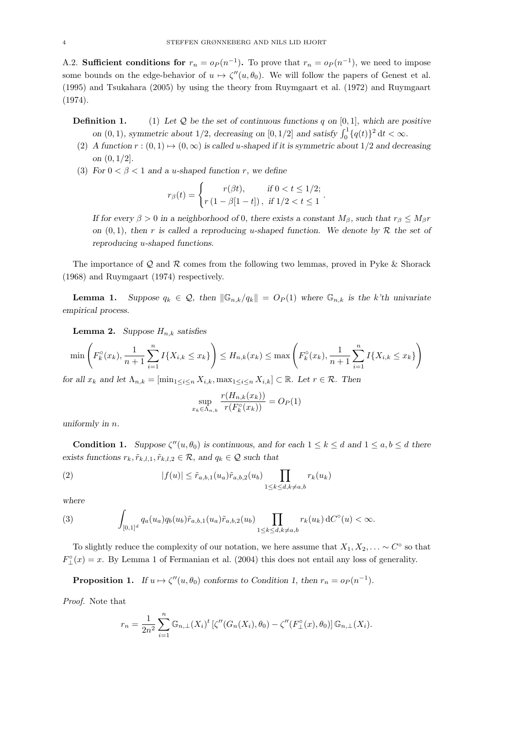A.2. Sufficient conditions for  $r_n = o_P(n^{-1})$ . To prove that  $r_n = o_P(n^{-1})$ , we need to impose some bounds on the edge-behavior of  $u \mapsto \zeta''(u, \theta_0)$ . We will follow the papers of Genest et al. (1995) and Tsukahara (2005) by using the theory from Ruymgaart et al. (1972) and Ruymgaart (1974).

**Definition 1.** (1) Let  $Q$  be the set of continuous functions q on [0, 1], which are positive on  $(0, 1)$ , symmetric about 1/2, decreasing on  $[0, 1/2]$  and satisfy  $\int_0^1 {\{q(t)\}}^2 dt < \infty$ .

- (2) A function  $r : (0,1) \mapsto (0,\infty)$  is called u-shaped if it is symmetric about  $1/2$  and decreasing on (0, 1/2].
- (3) For  $0 < \beta < 1$  and a u-shaped function r, we define

$$
r_{\beta}(t) = \begin{cases} r(\beta t), & \text{if } 0 < t \le 1/2; \\ r(1 - \beta[1 - t]), & \text{if } 1/2 < t \le 1 \end{cases}
$$

If for every  $\beta > 0$  in a neighborhood of 0, there exists a constant  $M_{\beta}$ , such that  $r_{\beta} \leq M_{\beta}r$ on  $(0, 1)$ , then r is called a reproducing u-shaped function. We denote by R the set of reproducing u-shaped functions.

.

The importance of  $\mathcal Q$  and  $\mathcal R$  comes from the following two lemmas, proved in Pyke & Shorack (1968) and Ruymgaart (1974) respectively.

**Lemma 1.** Suppose  $q_k \in \mathcal{Q}$ , then  $\|\mathbb{G}_{n,k}/q_k\| = O_P(1)$  where  $\mathbb{G}_{n,k}$  is the k'th univariate empirical process.

**Lemma 2.** Suppose  $H_{n,k}$  satisfies

$$
\min\left(F_k^{\circ}(x_k), \frac{1}{n+1}\sum_{i=1}^n I\{X_{i,k} \le x_k\}\right) \le H_{n,k}(x_k) \le \max\left(F_k^{\circ}(x_k), \frac{1}{n+1}\sum_{i=1}^n I\{X_{i,k} \le x_k\}\right)
$$

for all  $x_k$  and let  $\Lambda_{n,k} = [\min_{1 \leq i \leq n} X_{i,k}, \max_{1 \leq i \leq n} X_{i,k}] \subset \mathbb{R}$ . Let  $r \in \mathcal{R}$ . Then

$$
\sup_{x_k \in \Lambda_{n,k}} \frac{r(H_{n,k}(x_k))}{r(F_k^{\circ}(x_k))} = O_P(1)
$$

uniformly in n.

**Condition 1.** Suppose  $\zeta''(u, \theta_0)$  is continuous, and for each  $1 \leq k \leq d$  and  $1 \leq a, b \leq d$  there exists functions  $r_k, \tilde{r}_{k,l,1}, \tilde{r}_{k,l,2} \in \mathcal{R}$ , and  $q_k \in \mathcal{Q}$  such that

(2) 
$$
|f(u)| \leq \tilde{r}_{a,b,1}(u_a)\tilde{r}_{a,b,2}(u_b) \prod_{1 \leq k \leq d, k \neq a,b} r_k(u_k)
$$

where

(3) 
$$
\int_{[0,1]^d} q_a(u_a) q_b(u_b) \tilde{r}_{a,b,1}(u_a) \tilde{r}_{a,b,2}(u_b) \prod_{1 \le k \le d, k \ne a,b} r_k(u_k) dC^{\circ}(u) < \infty.
$$

To slightly reduce the complexity of our notation, we here assume that  $X_1, X_2, \ldots \sim C^{\circ}$  so that  $F_{\perp}^{\circ}(x) = x$ . By Lemma 1 of Fermanian et al. (2004) this does not entail any loss of generality.

**Proposition 1.** If  $u \mapsto \zeta''(u, \theta_0)$  conforms to Condition 1, then  $r_n = o_P(n^{-1})$ .

Proof. Note that

$$
r_n = \frac{1}{2n^2} \sum_{i=1}^n \mathbb{G}_{n,\perp}(X_i)^t \left[ \zeta''(G_n(X_i), \theta_0) - \zeta''(F^\circ_{\perp}(x), \theta_0) \right] \mathbb{G}_{n,\perp}(X_i).
$$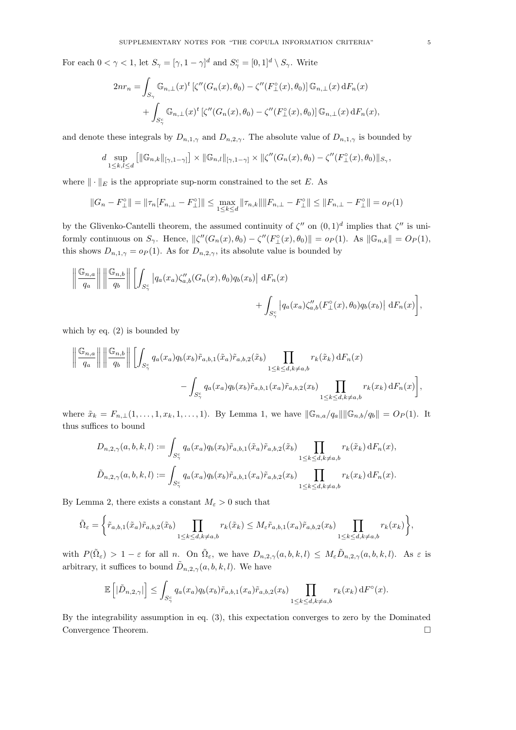For each  $0 < \gamma < 1$ , let  $S_{\gamma} = [\gamma, 1 - \gamma]^d$  and  $S_{\gamma}^c = [0, 1]^d \setminus S_{\gamma}$ . Write

$$
2nr_n = \int_{S_{\gamma}} \mathbb{G}_{n,\perp}(x)^t \left[\zeta''(G_n(x), \theta_0) - \zeta''(F_{\perp}^{\circ}(x), \theta_0)\right] \mathbb{G}_{n,\perp}(x) dF_n(x)
$$

$$
+ \int_{S_{\gamma}^{\circ}} \mathbb{G}_{n,\perp}(x)^t \left[\zeta''(G_n(x), \theta_0) - \zeta''(F_{\perp}^{\circ}(x), \theta_0)\right] \mathbb{G}_{n,\perp}(x) dF_n(x),
$$

and denote these integrals by  $D_{n,1,\gamma}$  and  $D_{n,2,\gamma}$ . The absolute value of  $D_{n,1,\gamma}$  is bounded by

$$
d \sup_{1 \leq k,l \leq d} \left[ \|\mathbb{G}_{n,k}\|_{[\gamma,1-\gamma]} \right] \times \|\mathbb{G}_{n,l}\|_{[\gamma,1-\gamma]} \times \|\zeta''(G_n(x), \theta_0) - \zeta''(F_{\perp}^{\circ}(x), \theta_0)\|_{S_{\gamma}},
$$

where  $\|\cdot\|_E$  is the appropriate sup-norm constrained to the set E. As

$$
||G_n - F_{\perp}^{\circ}|| = ||\tau_n[F_{n,\perp} - F_{\perp}^{\circ}]|| \le \max_{1 \le k \le d} ||\tau_{n,k}|| ||F_{n,\perp} - F_{\perp}^{\circ}|| \le ||F_{n,\perp} - F_{\perp}^{\circ}|| = o_P(1)
$$

by the Glivenko-Cantelli theorem, the assumed continuity of  $\zeta''$  on  $(0,1)^d$  implies that  $\zeta''$  is uniformly continuous on  $S_{\gamma}$ . Hence,  $\|\zeta''(G_n(x), \theta_0) - \zeta''(F_{\perp}^{\circ}(x), \theta_0)\| = o_P(1)$ . As  $\|\mathbb{G}_{n,k}\| = O_P(1)$ , this shows  $D_{n,1,\gamma} = o_P(1)$ . As for  $D_{n,2,\gamma}$ , its absolute value is bounded by

$$
\left\| \frac{\mathbb{G}_{n,a}}{q_a} \right\| \left\| \frac{\mathbb{G}_{n,b}}{q_b} \right\| \left[ \int_{S_{\gamma}^c} \left| q_a(x_a) \zeta_{a,b}^{\prime\prime}(G_n(x), \theta_0) q_b(x_b) \right| dF_n(x) + \int_{S_{\gamma}^c} \left| q_a(x_a) \zeta_{a,b}^{\prime\prime}(F_{\perp}^{\circ}(x), \theta_0) q_b(x_b) \right| dF_n(x) \right],
$$

which by eq. (2) is bounded by

$$
\left\| \frac{\mathbb{G}_{n,a}}{q_a} \right\| \left\| \frac{\mathbb{G}_{n,b}}{q_b} \right\| \left[ \int_{S^c_{\gamma}} q_a(x_a) q_b(x_b) \tilde{r}_{a,b,1}(\tilde{x}_a) \tilde{r}_{a,b,2}(\tilde{x}_b) \prod_{1 \le k \le d, k \ne a,b} r_k(\tilde{x}_k) dF_n(x) - \int_{S^c_{\gamma}} q_a(x_a) q_b(x_b) \tilde{r}_{a,b,1}(x_a) \tilde{r}_{a,b,2}(x_b) \prod_{1 \le k \le d, k \ne a,b} r_k(x_k) dF_n(x) \right],
$$

where  $\tilde{x}_k = F_{n, \perp}(1, \ldots, 1, x_k, 1, \ldots, 1)$ . By Lemma 1, we have  $||\mathbb{G}_{n,a}/q_a|| ||\mathbb{G}_{n,b}/q_b|| = O_P(1)$ . It thus suffices to bound

$$
D_{n,2,\gamma}(a,b,k,l) := \int_{S_{\gamma}^{c}} q_{a}(x_{a}) q_{b}(x_{b}) \tilde{r}_{a,b,1}(\tilde{x}_{a}) \tilde{r}_{a,b,2}(\tilde{x}_{b}) \prod_{1 \leq k \leq d, k \neq a,b} r_{k}(\tilde{x}_{k}) dF_{n}(x),
$$
  

$$
\tilde{D}_{n,2,\gamma}(a,b,k,l) := \int_{S_{\gamma}^{c}} q_{a}(x_{a}) q_{b}(x_{b}) \tilde{r}_{a,b,1}(x_{a}) \tilde{r}_{a,b,2}(x_{b}) \prod_{1 \leq k \leq d, k \neq a,b} r_{k}(x_{k}) dF_{n}(x).
$$

By Lemma 2, there exists a constant  $M_{\varepsilon} > 0$  such that

$$
\tilde{\Omega}_{\varepsilon} = \left\{ \tilde{r}_{a,b,1}(\tilde{x}_a) \tilde{r}_{a,b,2}(\tilde{x}_b) \prod_{1 \leq k \leq d, k \neq a,b} r_k(\tilde{x}_k) \leq M_{\varepsilon} \tilde{r}_{a,b,1}(x_a) \tilde{r}_{a,b,2}(x_b) \prod_{1 \leq k \leq d, k \neq a,b} r_k(x_k) \right\},\,
$$

with  $P(\tilde{\Omega}_{\varepsilon}) > 1 - \varepsilon$  for all n. On  $\tilde{\Omega}_{\varepsilon}$ , we have  $D_{n,2,\gamma}(a,b,k,l) \leq M_{\varepsilon} \tilde{D}_{n,2,\gamma}(a,b,k,l)$ . As  $\varepsilon$  is arbitrary, it suffices to bound  $\tilde{D}_{n,2,\gamma}(a,b,k,l)$ . We have

$$
\mathbb{E}\left[|\tilde{D}_{n,2,\gamma}|\right] \leq \int_{S_{\gamma}^c} q_a(x_a) q_b(x_b) \tilde{r}_{a,b,1}(x_a) \tilde{r}_{a,b,2}(x_b) \prod_{1 \leq k \leq d, k \neq a,b} r_k(x_k) dF^{\circ}(x).
$$

By the integrability assumption in eq. (3), this expectation converges to zero by the Dominated Convergence Theorem.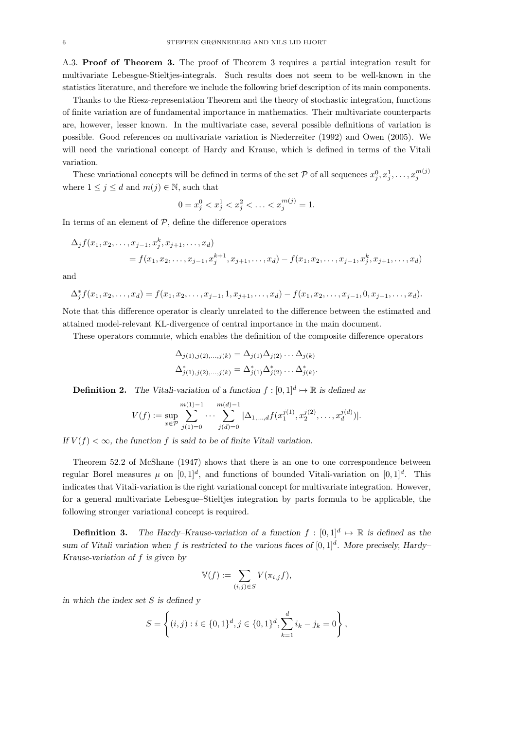A.3. Proof of Theorem 3. The proof of Theorem 3 requires a partial integration result for multivariate Lebesgue-Stieltjes-integrals. Such results does not seem to be well-known in the statistics literature, and therefore we include the following brief description of its main components.

Thanks to the Riesz-representation Theorem and the theory of stochastic integration, functions of finite variation are of fundamental importance in mathematics. Their multivariate counterparts are, however, lesser known. In the multivariate case, several possible definitions of variation is possible. Good references on multivariate variation is Niederreiter (1992) and Owen (2005). We will need the variational concept of Hardy and Krause, which is defined in terms of the Vitali variation.

These variational concepts will be defined in terms of the set  $P$  of all sequences  $x_j^0, x_j^1, \ldots, x_j^{m(j)}$ where  $1 \leq j \leq d$  and  $m(j) \in \mathbb{N}$ , such that

$$
0 = x_j^0 < x_j^1 < x_j^2 < \ldots < x_j^{m(j)} = 1.
$$

In terms of an element of  $P$ , define the difference operators

$$
\Delta_j f(x_1, x_2, \dots, x_{j-1}, x_j^k, x_{j+1}, \dots, x_d)
$$
  
=  $f(x_1, x_2, \dots, x_{j-1}, x_j^{k+1}, x_{j+1}, \dots, x_d) - f(x_1, x_2, \dots, x_{j-1}, x_j^k, x_{j+1}, \dots, x_d)$ 

and

$$
\Delta_j^* f(x_1, x_2, \ldots, x_d) = f(x_1, x_2, \ldots, x_{j-1}, 1, x_{j+1}, \ldots, x_d) - f(x_1, x_2, \ldots, x_{j-1}, 0, x_{j+1}, \ldots, x_d).
$$

Note that this difference operator is clearly unrelated to the difference between the estimated and attained model-relevant KL-divergence of central importance in the main document.

These operators commute, which enables the definition of the composite difference operators

$$
\Delta_{j(1),j(2),...,j(k)} = \Delta_{j(1)} \Delta_{j(2)} \dots \Delta_{j(k)} \n\Delta_{j(1),j(2),...,j(k)}^* = \Delta_{j(1)}^* \Delta_{j(2)}^* \dots \Delta_{j(k)}^*.
$$

**Definition 2.** The Vitali-variation of a function  $f : [0,1]^d \mapsto \mathbb{R}$  is defined as

$$
V(f) := \sup_{x \in \mathcal{P}} \sum_{j(1)=0}^{m(1)-1} \cdots \sum_{j(d)=0}^{m(d)-1} |\Delta_{1,\ldots,d} f(x_1^{j(1)}, x_2^{j(2)}, \ldots, x_d^{j(d)})|.
$$

If  $V(f) < \infty$ , the function f is said to be of finite Vitali variation.

Theorem 52.2 of McShane (1947) shows that there is an one to one correspondence between regular Borel measures  $\mu$  on  $[0,1]^d$ , and functions of bounded Vitali-variation on  $[0,1]^d$ . This indicates that Vitali-variation is the right variational concept for multivariate integration. However, for a general multivariate Lebesgue–Stieltjes integration by parts formula to be applicable, the following stronger variational concept is required.

**Definition 3.** The Hardy–Krause-variation of a function  $f : [0,1]^d \mapsto \mathbb{R}$  is defined as the sum of Vitali variation when f is restricted to the various faces of  $[0,1]^d$ . More precisely, Hardy-Krause-variation of f is given by

$$
\mathbb{V}(f) := \sum_{(i,j)\in S} V(\pi_{i,j}f),
$$

in which the index set  $S$  is defined  $y$ 

$$
S = \left\{ (i, j) : i \in \{0, 1\}^d, j \in \{0, 1\}^d, \sum_{k=1}^d i_k - j_k = 0 \right\},\
$$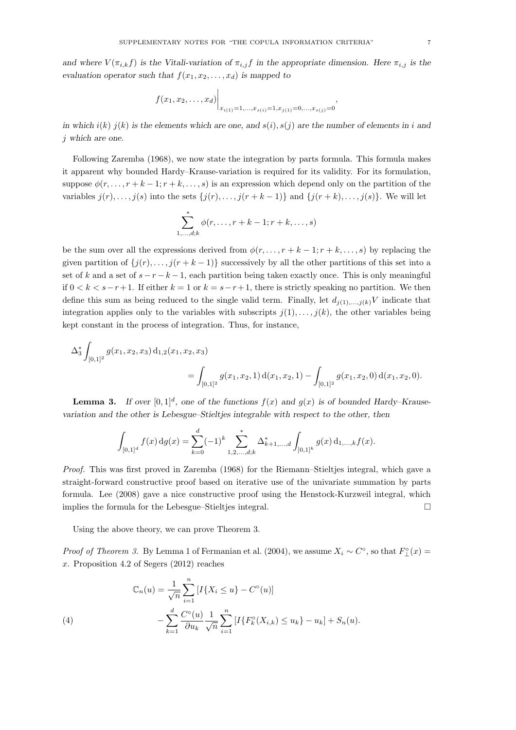$$
f(x_1, x_2,..., x_d)
$$
  $\bigg|_{x_{i(1)}=1,...,x_{s(i)}=1,x_{j(1)}=0,...,x_{s(j)}=0}$ 

in which  $i(k)$  j(k) is the elements which are one, and  $s(i)$ ,  $s(j)$  are the number of elements in i and j which are one.

Following Zaremba (1968), we now state the integration by parts formula. This formula makes it apparent why bounded Hardy–Krause-variation is required for its validity. For its formulation, suppose  $\phi(r, \ldots, r+k-1; r+k, \ldots, s)$  is an expression which depend only on the partition of the variables  $j(r), \ldots, j(s)$  into the sets  $\{j(r), \ldots, j(r+k-1)\}\$  and  $\{j(r+k), \ldots, j(s)\}\$ . We will let

$$
\sum_{1,\ldots,d;k}^{*} \phi(r,\ldots,r+k-1;r+k,\ldots,s)
$$

be the sum over all the expressions derived from  $\phi(r, \ldots, r + k - 1; r + k, \ldots, s)$  by replacing the given partition of  $\{j(r), \ldots, j(r+k-1)\}\$  successively by all the other partitions of this set into a set of k and a set of  $s - r - k - 1$ , each partition being taken exactly once. This is only meaningful if 0 < k < s−r+1. If either k = 1 or k = s−r+1, there is strictly speaking no partition. We then define this sum as being reduced to the single valid term. Finally, let  $d_{i(1),...,i(k)}V$  indicate that integration applies only to the variables with subscripts  $j(1), \ldots, j(k)$ , the other variables being kept constant in the process of integration. Thus, for instance,

$$
\Delta_3^* \int_{[0,1]^2} g(x_1, x_2, x_3) d_{1,2}(x_1, x_2, x_3)
$$
  
= 
$$
\int_{[0,1]^2} g(x_1, x_2, 1) d(x_1, x_2, 1) - \int_{[0,1]^2} g(x_1, x_2, 0) d(x_1, x_2, 0).
$$

**Lemma 3.** If over  $[0,1]^d$ , one of the functions  $f(x)$  and  $g(x)$  is of bounded Hardy–Krausevariation and the other is Lebesgue–Stieltjes integrable with respect to the other, then

$$
\int_{[0,1]^d} f(x) \, dg(x) = \sum_{k=0}^d (-1)^k \sum_{1,2,\ldots,d;k}^* \Delta^*_{k+1,\ldots,d} \int_{[0,1]^k} g(x) \, \mathrm{d}_{1,\ldots,k} f(x).
$$

Proof. This was first proved in Zaremba (1968) for the Riemann–Stieltjes integral, which gave a straight-forward constructive proof based on iterative use of the univariate summation by parts formula. Lee (2008) gave a nice constructive proof using the Henstock-Kurzweil integral, which implies the formula for the Lebesgue–Stieltjes integral.

Using the above theory, we can prove Theorem 3.

*Proof of Theorem 3.* By Lemma 1 of Fermanian et al. (2004), we assume  $X_i \sim C^{\circ}$ , so that  $F_{\perp}^{\circ}(x) =$ x. Proposition 4.2 of Segers (2012) reaches

(4)  
\n
$$
\mathbb{C}_n(u) = \frac{1}{\sqrt{n}} \sum_{i=1}^n [I\{X_i \le u\} - C^\circ(u)] - \sum_{k=1}^d \frac{C^\circ(u)}{\partial u_k} \frac{1}{\sqrt{n}} \sum_{i=1}^n [I\{F_k^\circ(X_{i,k}) \le u_k\} - u_k] + S_n(u).
$$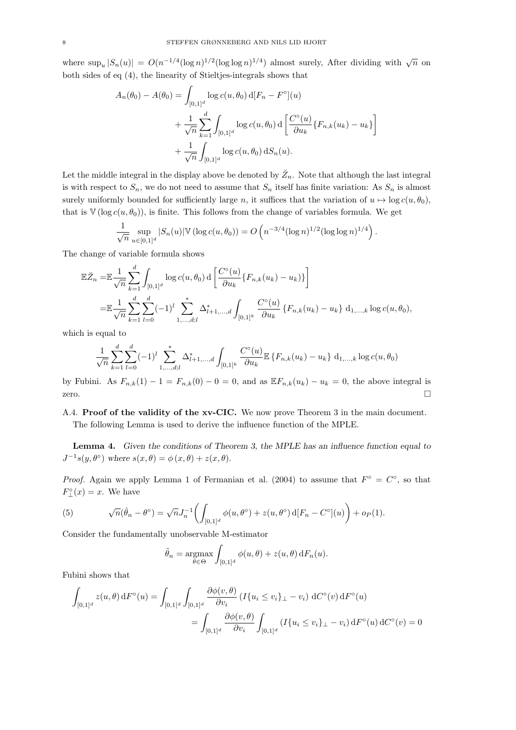where  $\sup_u |S_n(u)| = O(n^{-1/4} (\log n)^{1/2} (\log \log n)^{1/4})$  almost surely, After dividing with  $\sqrt{n}$  on both sides of eq (4), the linearity of Stieltjes-integrals shows that

$$
A_n(\theta_0) - A(\theta_0) = \int_{[0,1]^d} \log c(u, \theta_0) d[F_n - F^{\circ}](u)
$$
  
+ 
$$
\frac{1}{\sqrt{n}} \sum_{k=1}^d \int_{[0,1]^d} \log c(u, \theta_0) d\left[ \frac{C^{\circ}(u)}{\partial u_k} \{F_{n,k}(u_k) - u_k\} \right]
$$
  
+ 
$$
\frac{1}{\sqrt{n}} \int_{[0,1]^d} \log c(u, \theta_0) dS_n(u).
$$

Let the middle integral in the display above be denoted by  $\check{Z}_n$ . Note that although the last integral is with respect to  $S_n$ , we do not need to assume that  $S_n$  itself has finite variation: As  $S_n$  is almost surely uniformly bounded for sufficiently large n, it suffices that the variation of  $u \mapsto \log c(u, \theta_0)$ , that is  $V(\log c(u, \theta_0))$ , is finite. This follows from the change of variables formula. We get

$$
\frac{1}{\sqrt{n}} \sup_{u \in [0,1]^d} |S_n(u)| \mathbb{V}(\log c(u,\theta_0)) = O\left(n^{-3/4} (\log n)^{1/2} (\log \log n)^{1/4}\right).
$$

The change of variable formula shows

$$
\mathbb{E}\breve{Z}_n = \mathbb{E}\frac{1}{\sqrt{n}}\sum_{k=1}^d \int_{[0,1]^d} \log c(u,\theta_0) \,d\left[\frac{C^{\circ}(u)}{\partial u_k} \{F_{n,k}(u_k) - u_k)\}\right]
$$
\n
$$
= \mathbb{E}\frac{1}{\sqrt{n}}\sum_{k=1}^d \sum_{l=0}^d (-1)^l \sum_{1,\ldots,d;l}^* \Delta_{l+1,\ldots,d}^* \int_{[0,1]^k} \frac{C^{\circ}(u)}{\partial u_k} \{F_{n,k}(u_k) - u_k\} \,d_{1,\ldots,k}\log c(u,\theta_0),
$$

which is equal to

$$
\frac{1}{\sqrt{n}} \sum_{k=1}^{d} \sum_{l=0}^{d} (-1)^{l} \sum_{1,...,d,l}^{*} \Delta_{l+1,...,d}^{*} \int_{[0,1]^{k}} \frac{C^{\circ}(u)}{\partial u_{k}} \mathbb{E} \left\{ F_{n,k}(u_{k}) - u_{k} \right\} d_{1,...,k} \log c(u, \theta_{0})
$$

by Fubini. As  $F_{n,k}(1) - 1 = F_{n,k}(0) - 0 = 0$ , and as  $\mathbb{E} F_{n,k}(u_k) - u_k = 0$ , the above integral is zero.  $\Box$ 

## A.4. Proof of the validity of the xv-CIC. We now prove Theorem 3 in the main document.

The following Lemma is used to derive the influence function of the MPLE.

Lemma 4. Given the conditions of Theorem 3, the MPLE has an influence function equal to  $J^{-1}s(y,\theta^{\circ})$  where  $s(x,\theta) = \phi(x,\theta) + z(x,\theta)$ .

*Proof.* Again we apply Lemma 1 of Fermanian et al. (2004) to assume that  $F^{\circ} = C^{\circ}$ , so that  $F_{\perp}^{\circ}(x) = x$ . We have

(5) 
$$
\sqrt{n}(\hat{\theta}_n - \theta^{\circ}) = \sqrt{n}J_n^{-1}\left(\int_{[0,1]^d} \phi(u,\theta^{\circ}) + z(u,\theta^{\circ}) d[F_n - C^{\circ}](u)\right) + o_P(1).
$$

Consider the fundamentally unobservable M-estimator

$$
\tilde{\theta}_n = \underset{\theta \in \Theta}{\operatorname{argmax}} \int_{[0,1]^d} \phi(u,\theta) + z(u,\theta) \, dF_n(u).
$$

Fubini shows that

$$
\int_{[0,1]^d} z(u,\theta) dF^{\circ}(u) = \int_{[0,1]^d} \int_{[0,1]^d} \frac{\partial \phi(v,\theta)}{\partial v_i} (I\{u_i \le v_i\}_{\perp} - v_i) dC^{\circ}(v) dF^{\circ}(u)
$$

$$
= \int_{[0,1]^d} \frac{\partial \phi(v,\theta)}{\partial v_i} \int_{[0,1]^d} (I\{u_i \le v_i\}_{\perp} - v_i) dF^{\circ}(u) dC^{\circ}(v) = 0
$$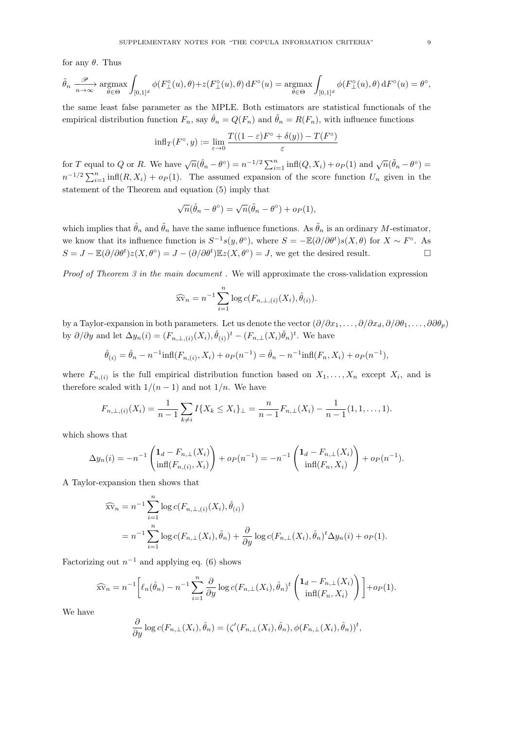for any  $\theta$ . Thus

$$
\tilde{\theta}_n \xrightarrow[n \to \infty]{\mathcal{P}} \operatorname*{argmax}_{\theta \in \Theta} \int_{[0,1]^d} \phi(F_{\perp}^{\circ}(u), \theta) + z(F_{\perp}^{\circ}(u), \theta) dF^{\circ}(u) = \operatorname*{argmax}_{\theta \in \Theta} \int_{[0,1]^d} \phi(F_{\perp}^{\circ}(u), \theta) dF^{\circ}(u) = \theta^{\circ},
$$

the same least false parameter as the MPLE. Both estimators are statistical functionals of the empirical distribution function  $F_n$ , say  $\hat{\theta}_n = Q(F_n)$  and  $\tilde{\theta}_n = R(F_n)$ , with influence functions

$$
\text{inf}_{T}(F^{\circ}, y) := \lim_{\varepsilon \to 0} \frac{T((1-\varepsilon)F^{\circ} + \delta(y)) - T(F^{\circ})}{\varepsilon}
$$

for T equal to Q or R. We have  $\sqrt{n}(\hat{\theta}_n - \theta^{\circ}) = n^{-1/2} \sum_{i=1}^n \inf(Q, X_i) + o_P(1)$  and  $\sqrt{n}(\tilde{\theta}_n - \theta^{\circ}) =$  $n^{-1/2} \sum_{i=1}^n \inf(R, X_i) + o_P(1)$ . The assumed expansion of the score function  $U_n$  given in the statement of the Theorem and equation (5) imply that

$$
\sqrt{n}(\hat{\theta}_n - \theta^{\circ}) = \sqrt{n}(\tilde{\theta}_n - \theta^{\circ}) + o_P(1),
$$

which implies that  $\hat{\theta}_n$  and  $\tilde{\theta}_n$  have the same influence functions. As  $\tilde{\theta}_n$  is an ordinary M-estimator, we know that its influence function is  $S^{-1}s(y,\theta^{\circ})$ , where  $S = -\mathbb{E}(\partial/\partial\theta^t)s(X,\theta)$  for  $X \sim F^{\circ}$ . As  $S = J - \mathbb{E}(\partial/\partial \theta^t)z(X, \theta^{\circ}) = J - (\partial/\partial \theta^t)\mathbb{E}z(X, \theta^{\circ}) = J$ , we get the desired result.

Proof of Theorem 3 in the main document. We will approximate the cross-validation expression

$$
\widehat{\text{sv}}_n = n^{-1} \sum_{i=1}^n \log c(F_{n,\perp,(i)}(X_i), \widehat{\theta}_{(i)}).
$$

by a Taylor-expansion in both parameters. Let us denote the vector  $(\partial/\partial x_1,\ldots,\partial/\partial x_d,\partial/\partial \theta_1,\ldots,\partial \partial \theta_p)$ by  $\partial/\partial y$  and let  $\Delta y_n(i) = (F_{n,\perp,(i)}(X_i), \hat{\theta}_{(i)})^t - (F_{n,\perp}(X_i)\hat{\theta}_n)^t$ . We have

$$
\hat{\theta}_{(i)} = \hat{\theta}_n - n^{-1} \inf(F_{n,(i)}, X_i) + o_P(n^{-1}) = \hat{\theta}_n - n^{-1} \inf(F_n, X_i) + o_P(n^{-1}),
$$

where  $F_{n,(i)}$  is the full empirical distribution function based on  $X_1, \ldots, X_n$  except  $X_i$ , and is therefore scaled with  $1/(n-1)$  and not  $1/n$ . We have

$$
F_{n,\perp,(i)}(X_i) = \frac{1}{n-1} \sum_{k \neq i} I\{X_k \leq X_i\}_{\perp} = \frac{n}{n-1} F_{n,\perp}(X_i) - \frac{1}{n-1} (1,1,\ldots,1).
$$

which shows that

$$
\Delta y_n(i) = -n^{-1} \left( \begin{matrix} \mathbf{1}_d - F_{n,\perp}(X_i) \\ \inf(F_{n,(i)}, X_i) \end{matrix} \right) + op(n^{-1}) = -n^{-1} \left( \begin{matrix} \mathbf{1}_d - F_{n,\perp}(X_i) \\ \inf(F_n, X_i) \end{matrix} \right) + op(n^{-1}).
$$

A Taylor-expansion then shows that

$$
\widehat{Xv}_n = n^{-1} \sum_{i=1}^n \log c(F_{n,\perp,(i)}(X_i), \hat{\theta}_{(i)})
$$
  
=  $n^{-1} \sum_{i=1}^n \log c(F_{n,\perp}(X_i), \hat{\theta}_n) + \frac{\partial}{\partial y} \log c(F_{n,\perp}(X_i), \hat{\theta}_n)^t \Delta y_n(i) + o_P(1).$ 

Factorizing out  $n^{-1}$  and applying eq. (6) shows

$$
\widehat{\text{sv}}_n = n^{-1} \bigg[ \ell_n(\hat{\theta}_n) - n^{-1} \sum_{i=1}^n \frac{\partial}{\partial y} \log c(F_{n,\perp}(X_i), \hat{\theta}_n)^t \left( \frac{\mathbf{1}_d - F_{n,\perp}(X_i)}{\inf(F_n, X_i)} \right) \bigg] + o_P(1).
$$

We have

$$
\frac{\partial}{\partial y}\log c(F_{n,\perp}(X_i),\hat{\theta}_n)=(\zeta'(F_{n,\perp}(X_i),\hat{\theta}_n),\phi(F_{n,\perp}(X_i),\hat{\theta}_n))^t,
$$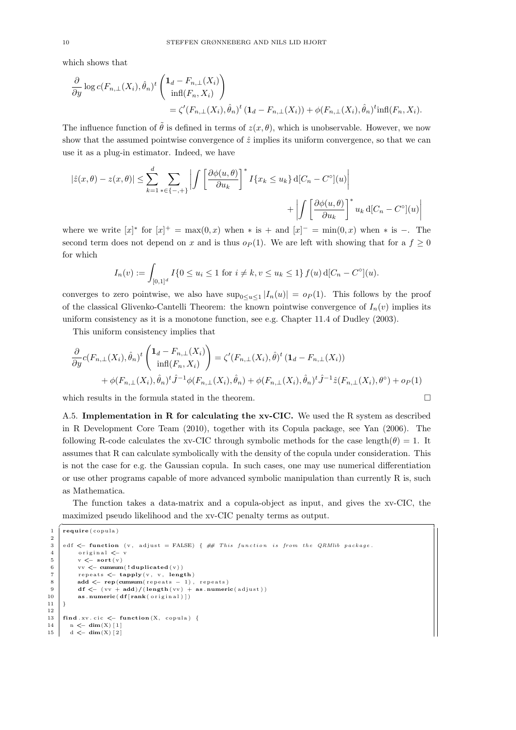which shows that

$$
\frac{\partial}{\partial y} \log c(F_{n,\perp}(X_i), \hat{\theta}_n)^t \begin{pmatrix} \mathbf{1}_d - F_{n,\perp}(X_i) \\ \inf(F_n, X_i) \end{pmatrix}
$$
  
=  $\zeta'(F_{n,\perp}(X_i), \hat{\theta}_n)^t (\mathbf{1}_d - F_{n,\perp}(X_i)) + \phi(F_{n,\perp}(X_i), \hat{\theta}_n)^t \inf(F_n, X_i).$ 

The influence function of  $\tilde{\theta}$  is defined in terms of  $z(x, \theta)$ , which is unobservable. However, we now show that the assumed pointwise convergence of  $\hat{z}$  implies its uniform convergence, so that we can use it as a plug-in estimator. Indeed, we have

$$
|\hat{z}(x,\theta) - z(x,\theta)| \le \sum_{k=1}^d \sum_{*\in\{-,+\}} \left| \int \left[ \frac{\partial \phi(u,\theta)}{\partial u_k} \right]^* I\{x_k \le u_k\} \, d[C_n - C^\circ](u) \right|
$$

$$
+ \left| \int \left[ \frac{\partial \phi(u,\theta)}{\partial u_k} \right]^* u_k \, d[C_n - C^\circ](u) \right|
$$

where we write  $[x]^*$  for  $[x]^+ = \max(0, x)$  when  $*$  is  $+$  and  $[x]^- = \min(0, x)$  when  $*$  is  $-$ . The second term does not depend on x and is thus  $o_P(1)$ . We are left with showing that for a  $f \ge 0$ for which

$$
I_n(v) := \int_{[0,1]^d} I\{0 \le u_i \le 1 \text{ for } i \ne k, v \le u_k \le 1\} f(u) d[C_n - C^\circ](u).
$$

converges to zero pointwise, we also have  $\sup_{0 \le u \le 1} |I_n(u)| = o_P(1)$ . This follows by the proof of the classical Glivenko-Cantelli Theorem: the known pointwise convergence of  $I_n(v)$  implies its uniform consistency as it is a monotone function, see e.g. Chapter 11.4 of Dudley (2003).

This uniform consistency implies that

$$
\frac{\partial}{\partial y} c(F_{n,\perp}(X_i), \hat{\theta}_n)^t \begin{pmatrix} \mathbf{1}_d - F_{n,\perp}(X_i) \\ \inf(F_n, X_i) \end{pmatrix} = \zeta'(F_{n,\perp}(X_i), \hat{\theta})^t \left(\mathbf{1}_d - F_{n,\perp}(X_i)\right) \\ + \phi(F_{n,\perp}(X_i), \hat{\theta}_n)^t \hat{J}^{-1} \phi(F_{n,\perp}(X_i), \hat{\theta}_n) + \phi(F_{n,\perp}(X_i), \hat{\theta}_n)^t \hat{J}^{-1} \hat{z}(F_{n,\perp}(X_i), \theta^\circ) + o_P(1)
$$

which results in the formula stated in the theorem.  $\Box$ 

A.5. Implementation in R for calculating the xv-CIC. We used the R system as described in R Development Core Team (2010), together with its Copula package, see Yan (2006). The following R-code calculates the xv-CIC through symbolic methods for the case length( $\theta$ ) = 1. It assumes that R can calculate symbolically with the density of the copula under consideration. This is not the case for e.g. the Gaussian copula. In such cases, one may use numerical differentiation or use other programs capable of more advanced symbolic manipulation than currently R is, such as Mathematica.

The function takes a data-matrix and a copula-object as input, and gives the xv-CIC, the maximized pseudo likelihood and the xv-CIC penalty terms as output.

```
\frac{1}{\sqrt{\text{require}(\text{copula})}}\begin{array}{c} 2 \\ 3 \end{array}edf \leq function (v, adjust = FALSE) { \# This function is from the QRMlib package.
 4 original \lt– v<br>5 v \lt– sort (v)
            v \le -\operatorname{sort}(v)6 vv \leq cumsum(!duplicated (v))
 7 repeats \leftarrow tapply (v, v, length)<br>8 add \leftarrow rep (cumsum (repeats - 1),
            add <\!\!\!\!\!-\text{ rep}(\text{cumsum}(\text{repeats }-\ 1),\ \text{repeats})9 df \leftarrow (vv + add)/(length (vv) + as . numeric (adjust))
10 \vert as . numeric (df[rank(original)])11 \mid }
12
13 \int find . xv. cic \leq function (X, \text{ copula}) {
14 n <\left| n \right| = dim(X) [1]
15 d \leftarrow dim(X) [2]
```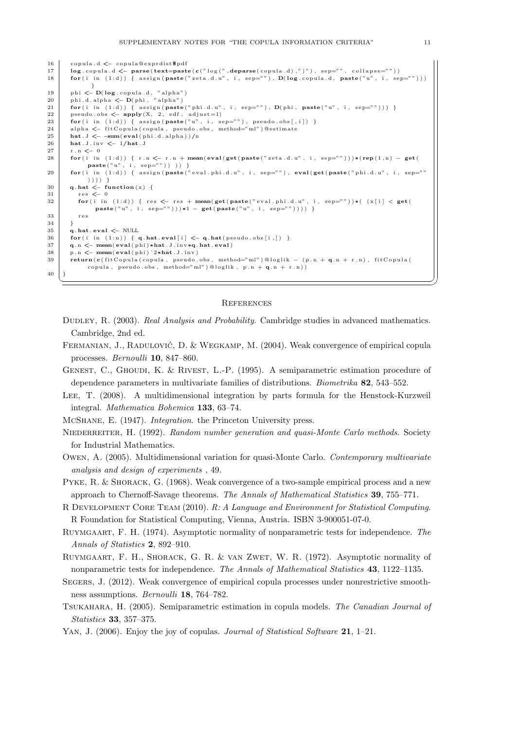```
16 copula.d \leq copula@exprdist$pdf
17 \left[ \log_{10} \log_{10} d \right] \left[ \log_{10} d \right] \left[ \log_{10} \log_{10} d \right] \left[ \log_{10} d \right] \left[ \log_{10} d \right] \left[ \log_{10} d \right] \left[ \log_{10} d \right] \left[ \log_{10} d \right] \left[ \log_{10} d \right]18 for (i in (1:d)) { assign (paste ("zeta d.u", i, sep=""), D(\log copula d, paste ("u", i, sep-
              }
19 phi \leftarrow D(log. copula.d, "alpha")
20 phi.d.alpha \leftarrow D(phi, "alpha")
21 for (i in (1:d)) { assign (paste ("phi.d.u", i, sep=""), D(\text{phi}, \text{paste}("u", i, \text{sep}^{-''''}))) }
22 pseudo.obs \leq apply (X, 2, edf, adjust=1)23 \left\{\n\begin{array}{ccc}\n\text{for (i in (1:d))} & \text{f assign (paste("u", i, sep=""), pseudo. obs[, i])}\n\end{array}\n\right\}24 alpha \leftarrow fit Copula (copula, pseudo .obs, method="ml") @ estimate<br>25 hat, J \leftarrow -\text{sum}(\text{eval}(\text{phi}.d, \text{alpha}))/nhat J \le -sum(expal(bhi.d. alpha)) /n26 hat . J . inv < - 1/hat . J
27 \quad \text{r} \quad \text{n} \leq 028 \text{ } | for (i in (1:d)) { r.n \lt r.n + mean(eval(get(paste("zeta.d.u", i, sep="")))*(rep(1,n) - get(
             \texttt{paste}(\text{"u", i, sep=""))})29 \blacksquare for (i in (1:d)) { assign (paste ("eval.phi.d.u", i, sep=""), eval(get (paste ("phi.d.u", i, sep=""
             ) ) ) ) }
30 q. hat \leq function (x) {
31 res \leq -032 for (i in (1:d)) { res <- res + mean(get(paste("eval.phi.d.u", i, sep=""))*( (x[i] < getpaste("u", i, sep="")) ) *1 - get (paste("u", i, sep="")) }
33 res
34 \mid \}35 q. hat . eval \leftarrow NULL
36 \left\{\text{for (i in (1:n)) } \left\{ \text{ q. hat. eval[i]} \leftarrow \text{ q. hat (pseudo. obs[i,]) } \right\}37 q.n \leq mean(eval(phi)*hat. J. inv*q. hat. eval)
38 p.n \leq mean(eval(phi)^2*hat.J.inv)
39 return (c ( fit Copula ( copula, pseudo. obs, method="ml" ) @loglik - (p. n + q. n + r. n), fit Copula (
             copula, pseudo.obs, method="ml") @loglik, p.n + q.n + r.n))
40 \pm 3✝ ✆✌
```
#### **REFERENCES**

- DUDLEY, R. (2003). Real Analysis and Probability. Cambridge studies in advanced mathematics. Cambridge, 2nd ed.
- FERMANIAN, J., RADULOVIĆ, D. & WEGKAMP, M. (2004). Weak convergence of empirical copula processes. Bernoulli 10, 847–860.

GENEST, C., GHOUDI, K. & RIVEST, L.-P. (1995). A semiparametric estimation procedure of dependence parameters in multivariate families of distributions. Biometrika 82, 543–552.

- Lee, T. (2008). A multidimensional integration by parts formula for the Henstock-Kurzweil integral. Mathematica Bohemica 133, 63–74.
- McShane, E. (1947). Integration. the Princeton University press.

NIEDERREITER, H. (1992). Random number generation and quasi-Monte Carlo methods. Society for Industrial Mathematics.

Owen, A. (2005). Multidimensional variation for quasi-Monte Carlo. Contemporary multivariate analysis and design of experiments , 49.

PYKE, R. & SHORACK, G. (1968). Weak convergence of a two-sample empirical process and a new approach to Chernoff-Savage theorems. The Annals of Mathematical Statistics 39, 755–771.

R Development Core Team (2010). R: A Language and Environment for Statistical Computing. R Foundation for Statistical Computing, Vienna, Austria. ISBN 3-900051-07-0.

RUYMGAART, F. H. (1974). Asymptotic normality of nonparametric tests for independence. The Annals of Statistics 2, 892–910.

Ruymgaart, F. H., Shorack, G. R. & van Zwet, W. R. (1972). Asymptotic normality of nonparametric tests for independence. The Annals of Mathematical Statistics 43, 1122–1135.

- Segers, J. (2012). Weak convergence of empirical copula processes under nonrestrictive smoothness assumptions. Bernoulli 18, 764–782.
- Tsukahara, H. (2005). Semiparametric estimation in copula models. The Canadian Journal of Statistics 33, 357–375.
- YAN, J. (2006). Enjoy the joy of copulas. Journal of Statistical Software  $21$ , 1–21.